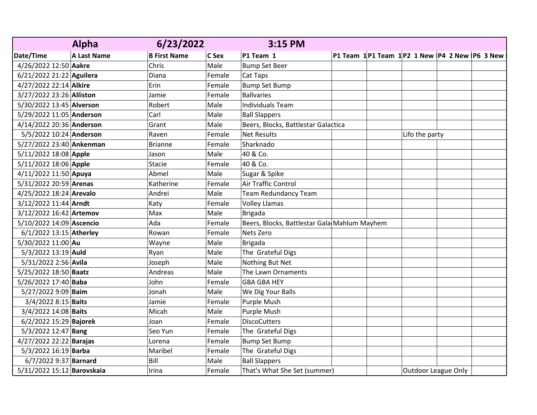|                            | <b>Alpha</b> | 6/23/2022           |        | 3:15 PM                                      |  |                                                    |  |
|----------------------------|--------------|---------------------|--------|----------------------------------------------|--|----------------------------------------------------|--|
| Date/Time                  | A Last Name  | <b>B First Name</b> | C Sex  | P1 Team 1                                    |  | P1 Team $1$ P1 Team $1$ P2 1 New P4 2 New P6 3 New |  |
| 4/26/2022 12:50 Aakre      |              | Chris               | Male   | <b>Bump Set Beer</b>                         |  |                                                    |  |
| 6/21/2022 21:22 Aguilera   |              | Diana               | Female | Cat Taps                                     |  |                                                    |  |
| 4/27/2022 22:14 Alkire     |              | Erin                | Female | <b>Bump Set Bump</b>                         |  |                                                    |  |
| 3/27/2022 23:26 Alliston   |              | Jamie               | Female | <b>Ballvaries</b>                            |  |                                                    |  |
| 5/30/2022 13:45 Alverson   |              | Robert              | Male   | <b>Individuals Team</b>                      |  |                                                    |  |
| 5/29/2022 11:05 Anderson   |              | Carl                | Male   | <b>Ball Slappers</b>                         |  |                                                    |  |
| 4/14/2022 20:36 Anderson   |              | Grant               | Male   | Beers, Blocks, Battlestar Galactica          |  |                                                    |  |
| 5/5/2022 10:24 Anderson    |              | Raven               | Female | <b>Net Results</b>                           |  | Lifo the party                                     |  |
| 5/27/2022 23:40 Ankenman   |              | <b>Brianne</b>      | Female | Sharknado                                    |  |                                                    |  |
| 5/11/2022 18:08 Apple      |              | Jason               | Male   | 40 & Co.                                     |  |                                                    |  |
| 5/11/2022 18:06 Apple      |              | Stacie              | Female | 40 & Co.                                     |  |                                                    |  |
| 4/11/2022 11:50 Apuya      |              | Abmel               | Male   | Sugar & Spike                                |  |                                                    |  |
| 5/31/2022 20:59 Arenas     |              | Katherine           | Female | Air Traffic Control                          |  |                                                    |  |
| 4/25/2022 18:24 Arevalo    |              | Andrei              | Male   | <b>Team Redundancy Team</b>                  |  |                                                    |  |
| 3/12/2022 11:44 Arndt      |              | Katy                | Female | <b>Volley Llamas</b>                         |  |                                                    |  |
| 3/12/2022 16:42 Artemov    |              | Max                 | Male   | <b>Brigada</b>                               |  |                                                    |  |
| 5/10/2022 14:09 Ascencio   |              | Ada                 | Female | Beers, Blocks, Battlestar Gala Mahlum Mayhem |  |                                                    |  |
| 6/1/2022 13:15 Atherley    |              | Rowan               | Female | Nets Zero                                    |  |                                                    |  |
| 5/30/2022 11:00 Au         |              | Wayne               | Male   | <b>Brigada</b>                               |  |                                                    |  |
| 5/3/2022 13:19 Auld        |              | Ryan                | Male   | The Grateful Digs                            |  |                                                    |  |
| 5/31/2022 2:56 Avila       |              | Joseph              | Male   | Nothing But Net                              |  |                                                    |  |
| 5/25/2022 18:50 Baatz      |              | Andreas             | Male   | The Lawn Ornaments                           |  |                                                    |  |
| 5/26/2022 17:40 Baba       |              | John                | Female | <b>GBA GBA HEY</b>                           |  |                                                    |  |
| 5/27/2022 9:09 Baim        |              | Jonah               | Male   | We Dig Your Balls                            |  |                                                    |  |
| 3/4/2022 8:15 Baits        |              | Jamie               | Female | Purple Mush                                  |  |                                                    |  |
| 3/4/2022 14:08 Baits       |              | Micah               | Male   | Purple Mush                                  |  |                                                    |  |
| 6/2/2022 15:29 Bajorek     |              | Joan                | Female | <b>DiscoCutters</b>                          |  |                                                    |  |
| 5/3/2022 12:47 Bang        |              | Seo Yun             | Female | The Grateful Digs                            |  |                                                    |  |
| 4/27/2022 22:22 Barajas    |              | Lorena              | Female | <b>Bump Set Bump</b>                         |  |                                                    |  |
| 5/3/2022 16:19 Barba       |              | Maribel             | Female | The Grateful Digs                            |  |                                                    |  |
| 6/7/2022 9:37 Barnard      |              | Bill                | Male   | <b>Ball Slappers</b>                         |  |                                                    |  |
| 5/31/2022 15:12 Barovskaia |              | Irina               | Female | That's What She Set (summer)                 |  | <b>Outdoor League Only</b>                         |  |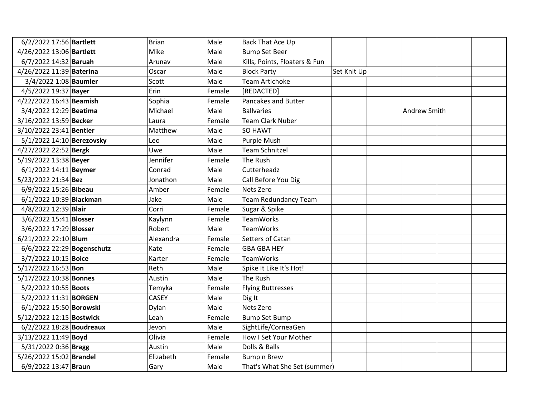| 6/2/2022 17:56 Bartlett    | <b>Brian</b> | Male   | Back That Ace Up              |             |              |  |
|----------------------------|--------------|--------|-------------------------------|-------------|--------------|--|
| 4/26/2022 13:06 Bartlett   | Mike         | Male   | <b>Bump Set Beer</b>          |             |              |  |
| 6/7/2022 14:32 Baruah      | Arunav       | Male   | Kills, Points, Floaters & Fun |             |              |  |
| 4/26/2022 11:39 Baterina   | Oscar        | Male   | <b>Block Party</b>            | Set Knit Up |              |  |
| 3/4/2022 1:08 Baumler      | Scott        | Male   | <b>Team Artichoke</b>         |             |              |  |
| 4/5/2022 19:37 Bayer       | Erin         | Female | [REDACTED]                    |             |              |  |
| 4/22/2022 16:43 Beamish    | Sophia       | Female | <b>Pancakes and Butter</b>    |             |              |  |
| 3/4/2022 12:29 Beatima     | Michael      | Male   | <b>Ballvaries</b>             |             | Andrew Smith |  |
| 3/16/2022 13:59 Becker     | Laura        | Female | <b>Team Clark Nuber</b>       |             |              |  |
| 3/10/2022 23:41 Bentler    | Matthew      | Male   | <b>SO HAWT</b>                |             |              |  |
| 5/1/2022 14:10 Berezovsky  | Leo          | Male   | Purple Mush                   |             |              |  |
| 4/27/2022 22:52 Bergk      | Uwe          | Male   | <b>Team Schnitzel</b>         |             |              |  |
| 5/19/2022 13:38 Beyer      | Jennifer     | Female | The Rush                      |             |              |  |
| 6/1/2022 14:11 Beymer      | Conrad       | Male   | Cutterheadz                   |             |              |  |
| 5/23/2022 21:34 Bez        | Jonathon     | Male   | Call Before You Dig           |             |              |  |
| 6/9/2022 15:26 Bibeau      | Amber        | Female | Nets Zero                     |             |              |  |
| 6/1/2022 10:39 Blackman    | Jake         | Male   | <b>Team Redundancy Team</b>   |             |              |  |
| 4/8/2022 12:39 Blair       | Corri        | Female | Sugar & Spike                 |             |              |  |
| 3/6/2022 15:41 Blosser     | Kaylynn      | Female | <b>TeamWorks</b>              |             |              |  |
| 3/6/2022 17:29 Blosser     | Robert       | Male   | <b>TeamWorks</b>              |             |              |  |
| 6/21/2022 22:10 Blum       | Alexandra    | Female | Setters of Catan              |             |              |  |
| 6/6/2022 22:29 Bogenschutz | Kate         | Female | <b>GBA GBA HEY</b>            |             |              |  |
| 3/7/2022 10:15 Boice       | Karter       | Female | <b>TeamWorks</b>              |             |              |  |
| 5/17/2022 16:53 Bon        | Reth         | Male   | Spike It Like It's Hot!       |             |              |  |
| 5/17/2022 10:38 Bonnes     | Austin       | Male   | The Rush                      |             |              |  |
| 5/2/2022 10:55 Boots       | Temyka       | Female | <b>Flying Buttresses</b>      |             |              |  |
| 5/2/2022 11:31 BORGEN      | <b>CASEY</b> | Male   | Dig It                        |             |              |  |
| 6/1/2022 15:50 Borowski    | Dylan        | Male   | Nets Zero                     |             |              |  |
| 5/12/2022 12:15 Bostwick   | Leah         | Female | <b>Bump Set Bump</b>          |             |              |  |
| 6/2/2022 18:28 Boudreaux   | Jevon        | Male   | SightLife/CorneaGen           |             |              |  |
| 3/13/2022 11:49 Boyd       | Olivia       | Female | How I Set Your Mother         |             |              |  |
| 5/31/2022 0:36 Bragg       | Austin       | Male   | Dolls & Balls                 |             |              |  |
| 5/26/2022 15:02 Brandel    | Elizabeth    | Female | <b>Bump n Brew</b>            |             |              |  |
| 6/9/2022 13:47 Braun       | Gary         | Male   | That's What She Set (summer)  |             |              |  |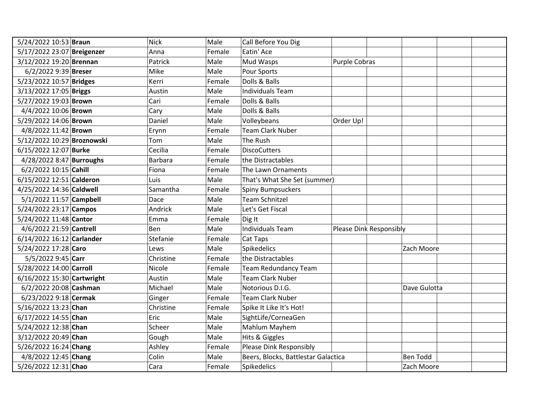| 5/24/2022 10:53 Braun      | <b>Nick</b>    | Male   | Call Before You Dig                 |                         |                 |
|----------------------------|----------------|--------|-------------------------------------|-------------------------|-----------------|
| 5/17/2022 23:07 Breigenzer | Anna           | Female | Eatin' Ace                          |                         |                 |
| 3/12/2022 19:20 Brennan    | Patrick        | Male   | Mud Wasps                           | Purple Cobras           |                 |
| 6/2/2022 9:39 Breser       | Mike           | Male   | Pour Sports                         |                         |                 |
| 5/23/2022 10:57 Bridges    | Kerri          | Female | Dolls & Balls                       |                         |                 |
| 3/13/2022 17:05 Briggs     | Austin         | Male   | <b>Individuals Team</b>             |                         |                 |
| 5/27/2022 19:03 Brown      | Cari           | Female | Dolls & Balls                       |                         |                 |
| 4/4/2022 10:06 Brown       | Cary           | Male   | Dolls & Balls                       |                         |                 |
| 5/29/2022 14:06 Brown      | Daniel         | Male   | Volleybeans                         | Order Up!               |                 |
| 4/8/2022 11:42 Brown       | Erynn          | Female | <b>Team Clark Nuber</b>             |                         |                 |
| 5/12/2022 10:29 Broznowski | Tom            | Male   | The Rush                            |                         |                 |
| 6/15/2022 12:07 Burke      | Cecilia        | Female | <b>DiscoCutters</b>                 |                         |                 |
| 4/28/2022 8:47 Burroughs   | <b>Barbara</b> | Female | the Distractables                   |                         |                 |
| 6/2/2022 10:15 Cahill      | Fiona          | Female | The Lawn Ornaments                  |                         |                 |
| 6/15/2022 12:51 Calderon   | Luis           | Male   | That's What She Set (summer)        |                         |                 |
| 4/25/2022 14:36 Caldwell   | Samantha       | Female | Spiny Bumpsuckers                   |                         |                 |
| 5/1/2022 11:57 Campbell    | Dace           | Male   | <b>Team Schnitzel</b>               |                         |                 |
| 5/24/2022 23:17 Campos     | Andrick        | Male   | Let's Get Fiscal                    |                         |                 |
| 5/24/2022 11:48 Cantor     | Emma           | Female | Dig It                              |                         |                 |
| 4/6/2022 21:59 Cantrell    | Ben            | Male   | <b>Individuals Team</b>             | Please Dink Responsibly |                 |
| 6/14/2022 16:12 Carlander  | Stefanie       | Female | Cat Taps                            |                         |                 |
| 5/24/2022 17:28 Caro       | Lews           | Male   | Spikedelics                         |                         | Zach Moore      |
| 5/5/2022 9:45 Carr         | Christine      | Female | the Distractables                   |                         |                 |
| 5/28/2022 14:00 Carroll    | Nicole         | Female | <b>Team Redundancy Team</b>         |                         |                 |
| 6/16/2022 15:30 Cartwright | Austin         | Male   | <b>Team Clark Nuber</b>             |                         |                 |
| 6/2/2022 20:08 Cashman     | Michael        | Male   | Notorious D.I.G.                    |                         | Dave Gulotta    |
| 6/23/2022 9:18 Cermak      | Ginger         | Female | <b>Team Clark Nuber</b>             |                         |                 |
| 5/16/2022 13:23 Chan       | Christine      | Female | Spike It Like It's Hot!             |                         |                 |
| 6/17/2022 14:55 Chan       | Eric           | Male   | SightLife/CorneaGen                 |                         |                 |
| 5/24/2022 12:38 Chan       | Scheer         | Male   | Mahlum Mayhem                       |                         |                 |
| 3/12/2022 20:49 Chan       | Gough          | Male   | Hits & Giggles                      |                         |                 |
| 5/26/2022 16:24 Chang      | Ashley         | Female | Please Dink Responsibly             |                         |                 |
| 4/8/2022 12:45 Chang       | Colin          | Male   | Beers, Blocks, Battlestar Galactica |                         | <b>Ben Todd</b> |
| 5/26/2022 12:31 Chao       | Cara           | Female | Spikedelics                         |                         | Zach Moore      |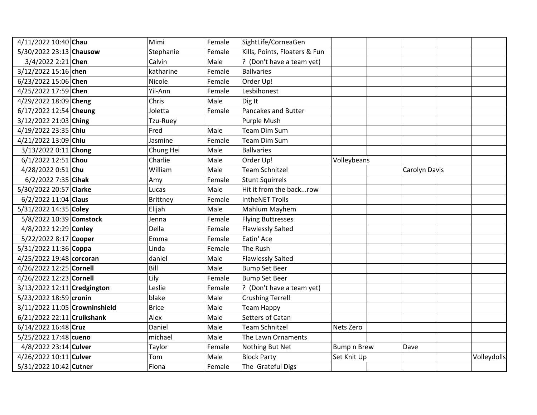| 4/11/2022 10:40 Chau          | Mimi         | Female | SightLife/CorneaGen           |             |               |             |
|-------------------------------|--------------|--------|-------------------------------|-------------|---------------|-------------|
| 5/30/2022 23:13 Chausow       | Stephanie    | Female | Kills, Points, Floaters & Fun |             |               |             |
| 3/4/2022 2:21 Chen            | Calvin       | Male   | ? (Don't have a team yet)     |             |               |             |
| 3/12/2022 15:16 chen          | katharine    | Female | <b>Ballvaries</b>             |             |               |             |
| 6/23/2022 15:06 Chen          | Nicole       | Female | Order Up!                     |             |               |             |
| 4/25/2022 17:59 Chen          | Yii-Ann      | Female | Lesbihonest                   |             |               |             |
| 4/29/2022 18:09 Cheng         | Chris        | Male   | Dig It                        |             |               |             |
| 6/17/2022 12:54 Cheung        | Joletta      | Female | Pancakes and Butter           |             |               |             |
| 3/12/2022 21:03 Ching         | Tzu-Ruey     |        | Purple Mush                   |             |               |             |
| 4/19/2022 23:35 Chiu          | Fred         | Male   | <b>Team Dim Sum</b>           |             |               |             |
| 4/21/2022 13:09 Chiu          | Jasmine      | Female | <b>Team Dim Sum</b>           |             |               |             |
| 3/13/2022 0:11 Chong          | Chung Hei    | Male   | <b>Ballvaries</b>             |             |               |             |
| 6/1/2022 12:51 Chou           | Charlie      | Male   | Order Up!                     | Volleybeans |               |             |
| 4/28/2022 0:51 Chu            | William      | Male   | <b>Team Schnitzel</b>         |             | Carolyn Davis |             |
| 6/2/2022 7:35 Cihak           | Amy          | Female | <b>Stunt Squirrels</b>        |             |               |             |
| 5/30/2022 20:57 Clarke        | Lucas        | Male   | Hit it from the backrow       |             |               |             |
| 6/2/2022 11:04 Claus          | Brittney     | Female | <b>IntheNET Trolls</b>        |             |               |             |
| 5/31/2022 14:35 Coley         | Elijah       | Male   | Mahlum Mayhem                 |             |               |             |
| 5/8/2022 10:39 Comstock       | Jenna        | Female | <b>Flying Buttresses</b>      |             |               |             |
| 4/8/2022 12:29 Conley         | Della        | Female | <b>Flawlessly Salted</b>      |             |               |             |
| 5/22/2022 8:17 Cooper         | Emma         | Female | Eatin' Ace                    |             |               |             |
| 5/31/2022 11:36 Coppa         | Linda        | Female | The Rush                      |             |               |             |
| 4/25/2022 19:48 corcoran      | daniel       | Male   | <b>Flawlessly Salted</b>      |             |               |             |
| 4/26/2022 12:25 Cornell       | Bill         | Male   | <b>Bump Set Beer</b>          |             |               |             |
| 4/26/2022 12:23 Cornell       | Lily         | Female | <b>Bump Set Beer</b>          |             |               |             |
| 3/13/2022 12:11 Credgington   | Leslie       | Female | ? (Don't have a team yet)     |             |               |             |
| 5/23/2022 18:59 cronin        | blake        | Male   | <b>Crushing Terrell</b>       |             |               |             |
| 3/11/2022 11:05 Crowninshield | <b>Brice</b> | Male   | <b>Team Happy</b>             |             |               |             |
| 6/21/2022 22:11 Cruikshank    | Alex         | Male   | Setters of Catan              |             |               |             |
| 6/14/2022 16:48 Cruz          | Daniel       | Male   | <b>Team Schnitzel</b>         | Nets Zero   |               |             |
| 5/25/2022 17:48 cueno         | michael      | Male   | The Lawn Ornaments            |             |               |             |
| 4/8/2022 23:14 Culver         | Taylor       | Female | Nothing But Net               | Bump n Brew | Dave          |             |
| 4/26/2022 10:11 Culver        | Tom          | Male   | <b>Block Party</b>            | Set Knit Up |               | Volleydolls |
| 5/31/2022 10:42 Cutner        | Fiona        | Female | The Grateful Digs             |             |               |             |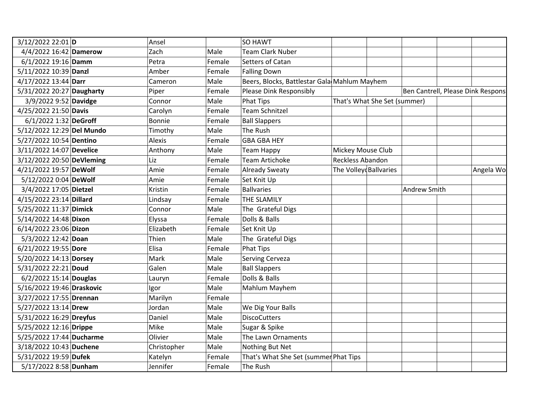| 3/12/2022 22:01 D         | Ansel         |        | SO HAWT                                      |                         |                              |                                    |           |
|---------------------------|---------------|--------|----------------------------------------------|-------------------------|------------------------------|------------------------------------|-----------|
| 4/4/2022 16:42 Damerow    | Zach          | Male   | <b>Team Clark Nuber</b>                      |                         |                              |                                    |           |
| 6/1/2022 19:16 Damm       | Petra         | Female | Setters of Catan                             |                         |                              |                                    |           |
| 5/11/2022 10:39 Danzl     | Amber         | Female | <b>Falling Down</b>                          |                         |                              |                                    |           |
| 4/17/2022 13:44 Darr      | Cameron       | Male   | Beers, Blocks, Battlestar Gala Mahlum Mayhem |                         |                              |                                    |           |
| 5/31/2022 20:27 Daugharty | Piper         | Female | Please Dink Responsibly                      |                         |                              | Ben Cantrell, Please Dink Responsi |           |
| 3/9/2022 9:52 Davidge     | Connor        | Male   | <b>Phat Tips</b>                             |                         | That's What She Set (summer) |                                    |           |
| 4/25/2022 21:50 Davis     | Carolyn       | Female | Team Schnitzel                               |                         |                              |                                    |           |
| 6/1/2022 1:32 DeGroff     | Bonnie        | Female | <b>Ball Slappers</b>                         |                         |                              |                                    |           |
| 5/12/2022 12:29 Del Mundo | Timothy       | Male   | The Rush                                     |                         |                              |                                    |           |
| 5/27/2022 10:54 Dentino   | <b>Alexis</b> | Female | <b>GBA GBA HEY</b>                           |                         |                              |                                    |           |
| 3/11/2022 14:07 Develice  | Anthony       | Male   | <b>Team Happy</b>                            | Mickey Mouse Club       |                              |                                    |           |
| 3/12/2022 20:50 DeVleming | Liz           | Female | <b>Team Artichoke</b>                        | <b>Reckless Abandon</b> |                              |                                    |           |
| 4/21/2022 19:57 DeWolf    | Amie          | Female | <b>Already Sweaty</b>                        | The Volley Ballvaries   |                              |                                    | Angela Wo |
| 5/12/2022 0:04 DeWolf     | Amie          | Female | Set Knit Up                                  |                         |                              |                                    |           |
| 3/4/2022 17:05 Dietzel    | Kristin       | Female | <b>Ballvaries</b>                            |                         |                              | Andrew Smith                       |           |
| 4/15/2022 23:14 Dillard   | Lindsay       | Female | THE SLAMILY                                  |                         |                              |                                    |           |
| 5/25/2022 11:37 Dimick    | Connor        | Male   | The Grateful Digs                            |                         |                              |                                    |           |
| 5/14/2022 14:48 Dixon     | Elyssa        | Female | Dolls & Balls                                |                         |                              |                                    |           |
| 6/14/2022 23:06 Dizon     | Elizabeth     | Female | Set Knit Up                                  |                         |                              |                                    |           |
| 5/3/2022 12:42 Doan       | Thien         | Male   | The Grateful Digs                            |                         |                              |                                    |           |
| 6/21/2022 19:55 Dore      | Elisa         | Female | <b>Phat Tips</b>                             |                         |                              |                                    |           |
| 5/20/2022 14:13 Dorsey    | Mark          | Male   | Serving Cerveza                              |                         |                              |                                    |           |
| 5/31/2022 22:21 Doud      | Galen         | Male   | <b>Ball Slappers</b>                         |                         |                              |                                    |           |
| $6/2/2022$ 15:14 Douglas  | Lauryn        | Female | Dolls & Balls                                |                         |                              |                                    |           |
| 5/16/2022 19:46 Draskovic | Igor          | Male   | Mahlum Mayhem                                |                         |                              |                                    |           |
| 3/27/2022 17:55 Drennan   | Marilyn       | Female |                                              |                         |                              |                                    |           |
| 5/27/2022 13:14 Drew      | Jordan        | Male   | We Dig Your Balls                            |                         |                              |                                    |           |
| 5/31/2022 16:29 Dreyfus   | Daniel        | Male   | <b>DiscoCutters</b>                          |                         |                              |                                    |           |
| 5/25/2022 12:16 Drippe    | Mike          | Male   | Sugar & Spike                                |                         |                              |                                    |           |
| 5/25/2022 17:44 Ducharme  | Olivier       | Male   | The Lawn Ornaments                           |                         |                              |                                    |           |
| 3/18/2022 10:43 Duchene   | Christopher   | Male   | Nothing But Net                              |                         |                              |                                    |           |
| 5/31/2022 19:59 Dufek     | Katelyn       | Female | That's What She Set (summer Phat Tips        |                         |                              |                                    |           |
| 5/17/2022 8:58 Dunham     | Jennifer      | Female | The Rush                                     |                         |                              |                                    |           |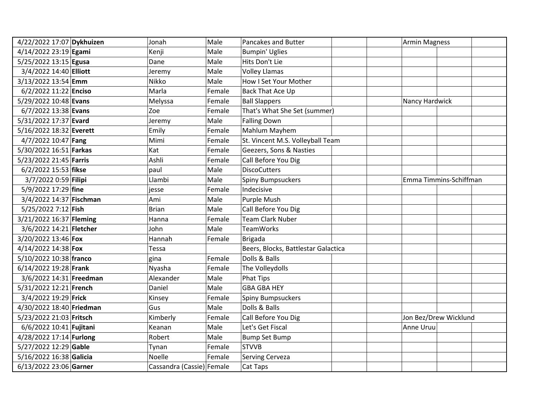| 4/22/2022 17:07 Dykhuizen | Jonah                     | Male   | Pancakes and Butter                 | <b>Armin Magness</b>   |  |
|---------------------------|---------------------------|--------|-------------------------------------|------------------------|--|
| 4/14/2022 23:19 Egami     | Kenji                     | Male   | <b>Bumpin' Uglies</b>               |                        |  |
| 5/25/2022 13:15 Egusa     | Dane                      | Male   | Hits Don't Lie                      |                        |  |
| 3/4/2022 14:40 Elliott    | Jeremy                    | Male   | <b>Volley Llamas</b>                |                        |  |
| 3/13/2022 13:54 Emm       | Nikko                     | Male   | How I Set Your Mother               |                        |  |
| 6/2/2022 11:22 Enciso     | Marla                     | Female | Back That Ace Up                    |                        |  |
| 5/29/2022 10:48 Evans     | Melyssa                   | Female | <b>Ball Slappers</b>                | Nancy Hardwick         |  |
| 6/7/2022 13:38 Evans      | Zoe                       | Female | That's What She Set (summer)        |                        |  |
| 5/31/2022 17:37 Evard     | Jeremy                    | Male   | <b>Falling Down</b>                 |                        |  |
| 5/16/2022 18:32 Everett   | Emily                     | Female | Mahlum Mayhem                       |                        |  |
| 4/7/2022 10:47 Fang       | Mimi                      | Female | St. Vincent M.S. Volleyball Team    |                        |  |
| 5/30/2022 16:51 Farkas    | Kat                       | Female | Geezers, Sons & Nasties             |                        |  |
| 5/23/2022 21:45 Farris    | Ashli                     | Female | Call Before You Dig                 |                        |  |
| 6/2/2022 15:53 fikse      | paul                      | Male   | <b>DiscoCutters</b>                 |                        |  |
| 3/7/2022 0:59 Filipi      | Llambi                    | Male   | <b>Spiny Bumpsuckers</b>            | Emma Timmins-Schiffman |  |
| 5/9/2022 17:29 fine       | iesse                     | Female | Indecisive                          |                        |  |
| 3/4/2022 14:37 Fischman   | Ami                       | Male   | Purple Mush                         |                        |  |
| 5/25/2022 7:12 Fish       | <b>Brian</b>              | Male   | Call Before You Dig                 |                        |  |
| 3/21/2022 16:37 Fleming   | Hanna                     | Female | <b>Team Clark Nuber</b>             |                        |  |
| 3/6/2022 14:21 Fletcher   | John                      | Male   | <b>TeamWorks</b>                    |                        |  |
| 3/20/2022 13:46 Fox       | Hannah                    | Female | <b>Brigada</b>                      |                        |  |
| 4/14/2022 14:38 Fox       | Tessa                     |        | Beers, Blocks, Battlestar Galactica |                        |  |
| 5/10/2022 10:38 franco    | gina                      | Female | Dolls & Balls                       |                        |  |
| 6/14/2022 19:28 Frank     | Nyasha                    | Female | The Volleydolls                     |                        |  |
| 3/6/2022 14:31 Freedman   | Alexander                 | Male   | <b>Phat Tips</b>                    |                        |  |
| 5/31/2022 12:21 French    | Daniel                    | Male   | <b>GBA GBA HEY</b>                  |                        |  |
| 3/4/2022 19:29 Frick      | Kinsey                    | Female | <b>Spiny Bumpsuckers</b>            |                        |  |
| 4/30/2022 18:40 Friedman  | Gus                       | Male   | Dolls & Balls                       |                        |  |
| 5/23/2022 21:03 Fritsch   | Kimberly                  | Female | Call Before You Dig                 | Jon Bez/Drew Wicklund  |  |
| 6/6/2022 10:41 Fujitani   | Keanan                    | Male   | Let's Get Fiscal                    | Anne Uruu              |  |
| 4/28/2022 17:14 Furlong   | Robert                    | Male   | <b>Bump Set Bump</b>                |                        |  |
| 5/27/2022 12:29 Gable     | Tynan                     | Female | <b>STVVB</b>                        |                        |  |
| 5/16/2022 16:38 Galicia   | Noelle                    | Female | Serving Cerveza                     |                        |  |
| 6/13/2022 23:06 Garner    | Cassandra (Cassie) Female |        | Cat Taps                            |                        |  |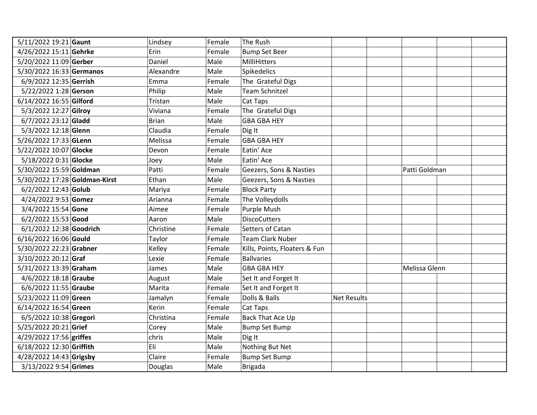| 5/11/2022 19:21 Gaunt         | Lindsey      | Female | The Rush                      |                    |               |
|-------------------------------|--------------|--------|-------------------------------|--------------------|---------------|
| 4/26/2022 15:11 Gehrke        | Erin         | Female | <b>Bump Set Beer</b>          |                    |               |
| 5/20/2022 11:09 Gerber        | Daniel       | Male   | MilliHitters                  |                    |               |
| 5/30/2022 16:33 Germanos      | Alexandre    | Male   | Spikedelics                   |                    |               |
| 6/9/2022 12:35 Gerrish        | Emma         | Female | The Grateful Digs             |                    |               |
| 5/22/2022 1:28 Gerson         | Philip       | Male   | <b>Team Schnitzel</b>         |                    |               |
| 6/14/2022 16:55 Gilford       | Tristan      | Male   | Cat Taps                      |                    |               |
| 5/3/2022 12:27 Gilroy         | Viviana      | Female | The Grateful Digs             |                    |               |
| 6/7/2022 23:12 Gladd          | <b>Brian</b> | Male   | <b>GBA GBA HEY</b>            |                    |               |
| 5/3/2022 12:18 Glenn          | Claudia      | Female | Dig It                        |                    |               |
| 5/26/2022 17:33 GLenn         | Melissa      | Female | <b>GBA GBA HEY</b>            |                    |               |
| 5/22/2022 10:07 Glocke        | Devon        | Female | Eatin' Ace                    |                    |               |
| 5/18/2022 0:31 Glocke         | Joey         | Male   | Eatin' Ace                    |                    |               |
| 5/30/2022 15:59 Goldman       | Patti        | Female | Geezers, Sons & Nasties       |                    | Patti Goldman |
| 5/30/2022 17:28 Goldman-Kirst | Ethan        | Male   | Geezers, Sons & Nasties       |                    |               |
| $6/2/2022$ 12:43 Golub        | Mariya       | Female | <b>Block Party</b>            |                    |               |
| 4/24/2022 9:53 Gomez          | Arianna      | Female | The Volleydolls               |                    |               |
| 3/4/2022 15:54 Gone           | Aimee        | Female | Purple Mush                   |                    |               |
| $6/2/2022$ 15:53 Good         | Aaron        | Male   | <b>DiscoCutters</b>           |                    |               |
| 6/1/2022 12:38 Goodrich       | Christine    | Female | Setters of Catan              |                    |               |
| 6/16/2022 16:06 Gould         | Taylor       | Female | <b>Team Clark Nuber</b>       |                    |               |
| 5/30/2022 22:23 Grabner       | Kelley       | Female | Kills, Points, Floaters & Fun |                    |               |
| 3/10/2022 20:12 Graf          | Lexie        | Female | <b>Ballvaries</b>             |                    |               |
| 5/31/2022 13:39 Graham        | James        | Male   | <b>GBA GBA HEY</b>            |                    | Melissa Glenn |
| 4/6/2022 18:18 Graube         | August       | Male   | Set It and Forget It          |                    |               |
| 6/6/2022 11:55 Graube         | Marita       | Female | Set It and Forget It          |                    |               |
| 5/23/2022 11:09 Green         | Jamalyn      | Female | Dolls & Balls                 | <b>Net Results</b> |               |
| 6/14/2022 16:54 Green         | Kerin        | Female | Cat Taps                      |                    |               |
| 6/5/2022 10:38 Gregori        | Christina    | Female | Back That Ace Up              |                    |               |
| 5/25/2022 20:21 Grief         | Corey        | Male   | <b>Bump Set Bump</b>          |                    |               |
| 4/29/2022 17:56 griffes       | chris        | Male   | Dig It                        |                    |               |
| 6/18/2022 12:30 Griffith      | Eli          | Male   | Nothing But Net               |                    |               |
| 4/28/2022 14:43 Grigsby       | Claire       | Female | <b>Bump Set Bump</b>          |                    |               |
| 3/13/2022 9:54 Grimes         | Douglas      | Male   | <b>Brigada</b>                |                    |               |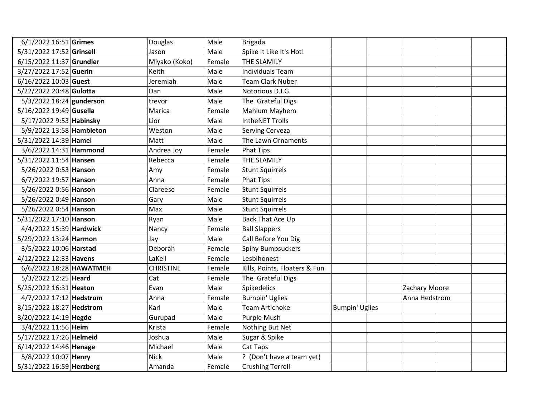| 6/1/2022 16:51 Grimes    | Douglas          | Male   | <b>Brigada</b>                |                       |               |  |
|--------------------------|------------------|--------|-------------------------------|-----------------------|---------------|--|
| 5/31/2022 17:52 Grinsell | Jason            | Male   | Spike It Like It's Hot!       |                       |               |  |
| 6/15/2022 11:37 Grundler | Miyako (Koko)    | Female | THE SLAMILY                   |                       |               |  |
| 3/27/2022 17:52 Guerin   | Keith            | Male   | <b>Individuals Team</b>       |                       |               |  |
| 6/16/2022 10:03 Guest    | Jeremiah         | Male   | <b>Team Clark Nuber</b>       |                       |               |  |
| 5/22/2022 20:48 Gulotta  | Dan              | Male   | Notorious D.I.G.              |                       |               |  |
| 5/3/2022 18:24 gunderson | trevor           | Male   | The Grateful Digs             |                       |               |  |
| 5/16/2022 19:49 Gusella  | Marica           | Female | Mahlum Mayhem                 |                       |               |  |
| 5/17/2022 9:53 Habinsky  | Lior             | Male   | <b>IntheNET Trolls</b>        |                       |               |  |
| 5/9/2022 13:58 Hambleton | Weston           | Male   | Serving Cerveza               |                       |               |  |
| 5/31/2022 14:39 Hamel    | Matt             | Male   | The Lawn Ornaments            |                       |               |  |
| 3/6/2022 14:31 Hammond   | Andrea Joy       | Female | <b>Phat Tips</b>              |                       |               |  |
| 5/31/2022 11:54 Hansen   | Rebecca          | Female | THE SLAMILY                   |                       |               |  |
| 5/26/2022 0:53 Hanson    | Amy              | Female | <b>Stunt Squirrels</b>        |                       |               |  |
| 6/7/2022 19:57 Hanson    | Anna             | Female | <b>Phat Tips</b>              |                       |               |  |
| 5/26/2022 0:56 Hanson    | Clareese         | Female | <b>Stunt Squirrels</b>        |                       |               |  |
| 5/26/2022 0:49 Hanson    | Gary             | Male   | <b>Stunt Squirrels</b>        |                       |               |  |
| 5/26/2022 0:54 Hanson    | Max              | Male   | <b>Stunt Squirrels</b>        |                       |               |  |
| 5/31/2022 17:10 Hanson   | Ryan             | Male   | Back That Ace Up              |                       |               |  |
| 4/4/2022 15:39 Hardwick  | Nancy            | Female | <b>Ball Slappers</b>          |                       |               |  |
| 5/29/2022 13:24 Harmon   | Jay              | Male   | Call Before You Dig           |                       |               |  |
| 3/5/2022 10:06 Harstad   | Deborah          | Female | Spiny Bumpsuckers             |                       |               |  |
| 4/12/2022 12:33 Havens   | LaKell           | Female | Lesbihonest                   |                       |               |  |
| 6/6/2022 18:28 HAWATMEH  | <b>CHRISTINE</b> | Female | Kills, Points, Floaters & Fun |                       |               |  |
| 5/3/2022 12:25 Heard     | Cat              | Female | The Grateful Digs             |                       |               |  |
| 5/25/2022 16:31 Heaton   | Evan             | Male   | Spikedelics                   |                       | Zachary Moore |  |
| 4/7/2022 17:12 Hedstrom  | Anna             | Female | <b>Bumpin' Uglies</b>         |                       | Anna Hedstrom |  |
| 3/15/2022 18:27 Hedstrom | Karl             | Male   | <b>Team Artichoke</b>         | <b>Bumpin' Uglies</b> |               |  |
| 3/20/2022 14:19 Hegde    | Gurupad          | Male   | Purple Mush                   |                       |               |  |
| 3/4/2022 11:56 Heim      | Krista           | Female | Nothing But Net               |                       |               |  |
| 5/17/2022 17:26 Helmeid  | Joshua           | Male   | Sugar & Spike                 |                       |               |  |
| 6/14/2022 14:46 Henage   | Michael          | Male   | Cat Taps                      |                       |               |  |
| 5/8/2022 10:07 Henry     | <b>Nick</b>      | Male   | ? (Don't have a team yet)     |                       |               |  |
| 5/31/2022 16:59 Herzberg | Amanda           | Female | <b>Crushing Terrell</b>       |                       |               |  |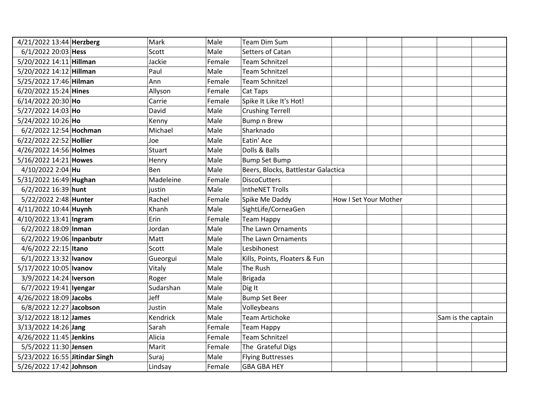| 4/21/2022 13:44 Herzberg       | Mark      | Male   | Team Dim Sum                            |                    |  |
|--------------------------------|-----------|--------|-----------------------------------------|--------------------|--|
| 6/1/2022 20:03 Hess            | Scott     | Male   | Setters of Catan                        |                    |  |
| 5/20/2022 14:11 Hillman        | Jackie    | Female | <b>Team Schnitzel</b>                   |                    |  |
| 5/20/2022 14:12 Hillman        | Paul      | Male   | <b>Team Schnitzel</b>                   |                    |  |
| 5/25/2022 17:46 Hilman         | Ann       | Female | <b>Team Schnitzel</b>                   |                    |  |
| 6/20/2022 15:24 Hines          | Allyson   | Female | Cat Taps                                |                    |  |
| 6/14/2022 20:30 Ho             | Carrie    | Female | Spike It Like It's Hot!                 |                    |  |
| 5/27/2022 14:03 Ho             | David     | Male   | <b>Crushing Terrell</b>                 |                    |  |
| 5/24/2022 10:26 Ho             | Kenny     | Male   | <b>Bump n Brew</b>                      |                    |  |
| 6/2/2022 12:54 Hochman         | Michael   | Male   | Sharknado                               |                    |  |
| 6/22/2022 22:52 Hollier        | Joe       | Male   | Eatin' Ace                              |                    |  |
| 4/26/2022 14:56 Holmes         | Stuart    | Male   | Dolls & Balls                           |                    |  |
| 5/16/2022 14:21 Howes          | Henry     | Male   | <b>Bump Set Bump</b>                    |                    |  |
| 4/10/2022 2:04 Hu              | Ben       | Male   | Beers, Blocks, Battlestar Galactica     |                    |  |
| 5/31/2022 16:49 Hughan         | Madeleine | Female | <b>DiscoCutters</b>                     |                    |  |
| 6/2/2022 16:39 hunt            | justin    | Male   | <b>IntheNET Trolls</b>                  |                    |  |
| 5/22/2022 2:48 Hunter          | Rachel    | Female | Spike Me Daddy<br>How I Set Your Mother |                    |  |
| 4/11/2022 10:44 Huynh          | Khanh     | Male   | SightLife/CorneaGen                     |                    |  |
| 4/10/2022 13:41 Ingram         | Erin      | Female | <b>Team Happy</b>                       |                    |  |
| 6/2/2022 18:09 Inman           | Jordan    | Male   | The Lawn Ornaments                      |                    |  |
| 6/2/2022 19:06 Inpanbutr       | Matt      | Male   | The Lawn Ornaments                      |                    |  |
| 4/6/2022 22:15 Itano           | Scott     | Male   | Lesbihonest                             |                    |  |
| 6/1/2022 13:32 Ivanov          | Gueorgui  | Male   | Kills, Points, Floaters & Fun           |                    |  |
| 5/17/2022 10:05   Ivanov       | Vitaly    | Male   | The Rush                                |                    |  |
| 3/9/2022 14:24   Iverson       | Roger     | Male   | <b>Brigada</b>                          |                    |  |
| 6/7/2022 19:41   Iyengar       | Sudarshan | Male   | Dig It                                  |                    |  |
| 4/26/2022 18:09 Jacobs         | Jeff      | Male   | <b>Bump Set Beer</b>                    |                    |  |
| 6/8/2022 12:27 Jacobson        | Justin    | Male   | Volleybeans                             |                    |  |
| 3/12/2022 18:12 James          | Kendrick  | Male   | Team Artichoke                          | Sam is the captain |  |
| 3/13/2022 14:26 Jang           | Sarah     | Female | <b>Team Happy</b>                       |                    |  |
| 4/26/2022 11:45 Jenkins        | Alicia    | Female | <b>Team Schnitzel</b>                   |                    |  |
| 5/5/2022 11:30 Jensen          | Marit     | Female | The Grateful Digs                       |                    |  |
| 5/23/2022 16:55 Jitindar Singh | Suraj     | Male   | <b>Flying Buttresses</b>                |                    |  |
| 5/26/2022 17:42 Johnson        | Lindsay   | Female | <b>GBA GBA HEY</b>                      |                    |  |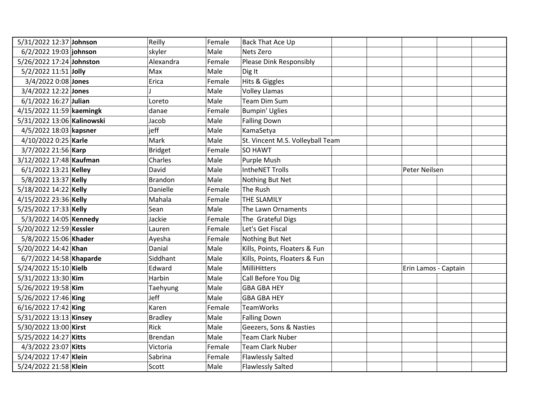| 5/31/2022 12:37 Johnson    | Reilly         | Female | <b>Back That Ace Up</b>          |                      |  |
|----------------------------|----------------|--------|----------------------------------|----------------------|--|
| 6/2/2022 19:03 johnson     | skyler         | Male   | Nets Zero                        |                      |  |
| 5/26/2022 17:24 Johnston   | Alexandra      | Female | Please Dink Responsibly          |                      |  |
| 5/2/2022 11:51 Jolly       | Max            | Male   | Dig It                           |                      |  |
| 3/4/2022 0:08 Jones        | Erica          | Female | Hits & Giggles                   |                      |  |
| 3/4/2022 12:22 Jones       |                | Male   | <b>Volley Llamas</b>             |                      |  |
| $6/1/2022$ 16:27 Julian    | Loreto         | Male   | <b>Team Dim Sum</b>              |                      |  |
| 4/15/2022 11:59 kaemingk   | danae          | Female | <b>Bumpin' Uglies</b>            |                      |  |
| 5/31/2022 13:06 Kalinowski | Jacob          | Male   | <b>Falling Down</b>              |                      |  |
| 4/5/2022 18:03 kapsner     | jeff           | Male   | KamaSetya                        |                      |  |
| 4/10/2022 0:25 Karle       | Mark           | Male   | St. Vincent M.S. Volleyball Team |                      |  |
| 3/7/2022 21:56 Karp        | <b>Bridget</b> | Female | <b>SO HAWT</b>                   |                      |  |
| 3/12/2022 17:48 Kaufman    | Charles        | Male   | Purple Mush                      |                      |  |
| 6/1/2022 13:21 Kelley      | David          | Male   | <b>IntheNET Trolls</b>           | Peter Neilsen        |  |
| 5/8/2022 13:37 Kelly       | <b>Brandon</b> | Male   | Nothing But Net                  |                      |  |
| 5/18/2022 14:22 Kelly      | Danielle       | Female | The Rush                         |                      |  |
| 4/15/2022 23:36 Kelly      | Mahala         | Female | THE SLAMILY                      |                      |  |
| 5/25/2022 17:33 Kelly      | Sean           | Male   | The Lawn Ornaments               |                      |  |
| 5/3/2022 14:05 Kennedy     | Jackie         | Female | The Grateful Digs                |                      |  |
| 5/20/2022 12:59 Kessler    | Lauren         | Female | Let's Get Fiscal                 |                      |  |
| 5/8/2022 15:06 Khader      | Ayesha         | Female | Nothing But Net                  |                      |  |
| 5/20/2022 14:42 Khan       | Danial         | Male   | Kills, Points, Floaters & Fun    |                      |  |
| 6/7/2022 14:58 Khaparde    | Siddhant       | Male   | Kills, Points, Floaters & Fun    |                      |  |
| 5/24/2022 15:10 Kielb      | Edward         | Male   | <b>MilliHitters</b>              | Erin Lamos - Captain |  |
| 5/31/2022 13:30 Kim        | Harbin         | Male   | Call Before You Dig              |                      |  |
| 5/26/2022 19:58 Kim        | Taehyung       | Male   | <b>GBA GBA HEY</b>               |                      |  |
| 5/26/2022 17:46 King       | Jeff           | Male   | <b>GBA GBA HEY</b>               |                      |  |
| 6/16/2022 17:42 King       | Karen          | Female | <b>TeamWorks</b>                 |                      |  |
| 5/31/2022 13:13 Kinsey     | <b>Bradley</b> | Male   | <b>Falling Down</b>              |                      |  |
| 5/30/2022 13:00 Kirst      | Rick           | Male   | Geezers, Sons & Nasties          |                      |  |
| 5/25/2022 14:27 Kitts      | <b>Brendan</b> | Male   | <b>Team Clark Nuber</b>          |                      |  |
| 4/3/2022 23:07 Kitts       | Victoria       | Female | <b>Team Clark Nuber</b>          |                      |  |
| 5/24/2022 17:47 Klein      | Sabrina        | Female | <b>Flawlessly Salted</b>         |                      |  |
| 5/24/2022 21:58 Klein      | Scott          | Male   | <b>Flawlessly Salted</b>         |                      |  |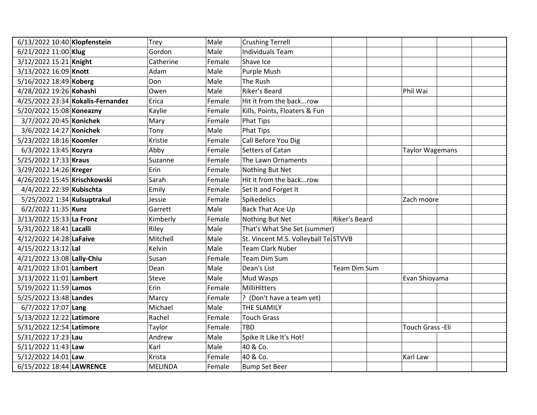| 6/13/2022 10:40 Klopfenstein      | Trey           | Male   | <b>Crushing Terrell</b>              |               |                        |
|-----------------------------------|----------------|--------|--------------------------------------|---------------|------------------------|
| 6/21/2022 11:00 Klug              | Gordon         | Male   | <b>Individuals Team</b>              |               |                        |
| 3/12/2022 15:21 Knight            | Catherine      | Female | Shave Ice                            |               |                        |
| 3/13/2022 16:09 Knott             | Adam           | Male   | Purple Mush                          |               |                        |
| 5/16/2022 18:49 Koberg            | Don            | Male   | The Rush                             |               |                        |
| 4/28/2022 19:26 Kohashi           | Owen           | Male   | Riker's Beard                        |               | Phil Wai               |
| 4/25/2022 23:34 Kokalis-Fernandez | Erica          | Female | Hit it from the backrow              |               |                        |
| 5/20/2022 15:08 Koneazny          | Kaylie         | Female | Kills, Points, Floaters & Fun        |               |                        |
| 3/7/2022 20:45 Konichek           | Mary           | Female | <b>Phat Tips</b>                     |               |                        |
| 3/6/2022 14:27 Konichek           | Tony           | Male   | <b>Phat Tips</b>                     |               |                        |
| 5/23/2022 18:16 Koomler           | Kristie        | Female | Call Before You Dig                  |               |                        |
| 6/3/2022 13:45 Kozyra             | Abby           | Female | Setters of Catan                     |               | <b>Taylor Wagemans</b> |
| 5/25/2022 17:33 Kraus             | Suzanne        | Female | The Lawn Ornaments                   |               |                        |
| 3/29/2022 14:26 Kreger            | Erin           | Female | Nothing But Net                      |               |                        |
| 4/26/2022 15:45 Krischkowski      | Sarah          | Female | Hit it from the backrow              |               |                        |
| 4/4/2022 22:39 Kubischta          | Emily          | Female | Set It and Forget It                 |               |                        |
| 5/25/2022 1:34 Kulsuptrakul       | Jessie         | Female | <b>Spikedelics</b>                   |               | Zach moore             |
| 6/2/2022 11:35 Kunz               | Garrett        | Male   | Back That Ace Up                     |               |                        |
| 3/13/2022 15:33 La Fronz          | Kimberly       | Female | Nothing But Net                      | Riker's Beard |                        |
| 5/31/2022 18:41 Lacalli           | Riley          | Male   | That's What She Set (summer)         |               |                        |
| 4/12/2022 14:28 LaFaive           | Mitchell       | Male   | St. Vincent M.S. Volleyball Te STVVB |               |                        |
| 4/15/2022 13:12 Lal               | Kelvin         | Male   | <b>Team Clark Nuber</b>              |               |                        |
| 4/21/2022 13:08 Lally-Chiu        | Susan          | Female | Team Dim Sum                         |               |                        |
| 4/21/2022 13:01 Lambert           | Dean           | Male   | Dean's List                          | Team Dim Sum  |                        |
| 3/13/2022 11:01 Lambert           | Steve          | Male   | Mud Wasps                            |               | Evan Shioyama          |
| 5/19/2022 11:59 Lamos             | Erin           | Female | MilliHitters                         |               |                        |
| 5/25/2022 13:48 Landes            | Marcy          | Female | ? (Don't have a team yet)            |               |                        |
| 6/7/2022 17:07 Lang               | Michael        | Male   | THE SLAMILY                          |               |                        |
| 5/13/2022 12:22 Latimore          | Rachel         | Female | <b>Touch Grass</b>                   |               |                        |
| 5/31/2022 12:54 Latimore          | Taylor         | Female | <b>TBD</b>                           |               | Touch Grass - Eli      |
| 5/31/2022 17:23 Lau               | Andrew         | Male   | Spike It Like It's Hot!              |               |                        |
| 5/11/2022 11:43 Law               | Karl           | Male   | 40 & Co.                             |               |                        |
| 5/12/2022 14:01 Law               | Krista         | Female | 40 & Co.                             |               | Karl Law               |
| 6/15/2022 18:44 LAWRENCE          | <b>MELINDA</b> | Female | <b>Bump Set Beer</b>                 |               |                        |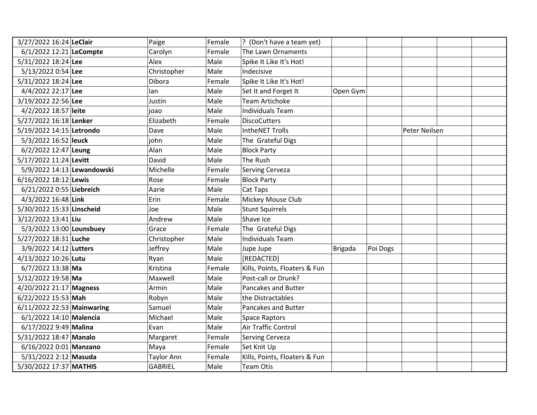| 3/27/2022 16:24 LeClair    | Paige             | Female | ? (Don't have a team yet)     |                |          |               |  |
|----------------------------|-------------------|--------|-------------------------------|----------------|----------|---------------|--|
| 6/1/2022 12:21 LeCompte    | Carolyn           | Female | The Lawn Ornaments            |                |          |               |  |
| 5/31/2022 18:24 Lee        | Alex              | Male   | Spike It Like It's Hot!       |                |          |               |  |
| 5/13/2022 0:54 Lee         | Christopher       | Male   | Indecisive                    |                |          |               |  |
| 5/31/2022 18:24 Lee        | Dibora            | Female | Spike It Like It's Hot!       |                |          |               |  |
| 4/4/2022 22:17 Lee         | lan               | Male   | Set It and Forget It          | Open Gym       |          |               |  |
| 3/19/2022 22:56 Lee        | Justin            | Male   | <b>Team Artichoke</b>         |                |          |               |  |
| 4/2/2022 18:57 leite       | joao              | Male   | <b>Individuals Team</b>       |                |          |               |  |
| 5/27/2022 16:18 Lenker     | Elizabeth         | Female | <b>DiscoCutters</b>           |                |          |               |  |
| 5/19/2022 14:15 Letrondo   | Dave              | Male   | <b>IntheNET Trolls</b>        |                |          | Peter Neilsen |  |
| 5/3/2022 16:52 leuck       | john              | Male   | The Grateful Digs             |                |          |               |  |
| 6/2/2022 12:47 Leung       | Alan              | Male   | <b>Block Party</b>            |                |          |               |  |
| 5/17/2022 11:24 Levitt     | David             | Male   | The Rush                      |                |          |               |  |
| 5/9/2022 14:13 Lewandowski | Michelle          | Female | <b>Serving Cerveza</b>        |                |          |               |  |
| 6/16/2022 18:12 Lewis      | Rose              | Female | <b>Block Party</b>            |                |          |               |  |
| 6/21/2022 0:55 Liebreich   | Aarie             | Male   | Cat Taps                      |                |          |               |  |
| 4/3/2022 16:48 Link        | Erin              | Female | Mickey Mouse Club             |                |          |               |  |
| 5/30/2022 15:33 Linscheid  | Joe               | Male   | <b>Stunt Squirrels</b>        |                |          |               |  |
| 3/12/2022 13:41 Liu        | Andrew            | Male   | Shave Ice                     |                |          |               |  |
| 5/3/2022 13:00 Lounsbuey   | Grace             | Female | The Grateful Digs             |                |          |               |  |
| 5/27/2022 18:31 Luche      | Christopher       | Male   | <b>Individuals Team</b>       |                |          |               |  |
| 3/9/2022 14:12 Lutters     | Jeffrey           | Male   | Jupe Jupe                     | <b>Brigada</b> | Poi Dogs |               |  |
| 4/13/2022 10:26 Lutu       | Ryan              | Male   | [REDACTED]                    |                |          |               |  |
| 6/7/2022 13:38 Ma          | Kristina          | Female | Kills, Points, Floaters & Fun |                |          |               |  |
| 5/12/2022 19:58 Ma         | Maxwell           | Male   | Post-call or Drunk?           |                |          |               |  |
| 4/20/2022 21:17 Magness    | Armin             | Male   | Pancakes and Butter           |                |          |               |  |
| 6/22/2022 15:53 Mah        | Robyn             | Male   | the Distractables             |                |          |               |  |
| 6/11/2022 22:53 Mainwaring | Samuel            | Male   | Pancakes and Butter           |                |          |               |  |
| 6/1/2022 14:10 Malencia    | Michael           | Male   | <b>Space Raptors</b>          |                |          |               |  |
| 6/17/2022 9:49 Malina      | Evan              | Male   | <b>Air Traffic Control</b>    |                |          |               |  |
| 5/31/2022 18:47 Manalo     | Margaret          | Female | Serving Cerveza               |                |          |               |  |
| 6/16/2022 0:01 Manzano     | Maya              | Female | Set Knit Up                   |                |          |               |  |
| 5/31/2022 2:12 Masuda      | <b>Taylor Ann</b> | Female | Kills, Points, Floaters & Fun |                |          |               |  |
| 5/30/2022 17:37 MATHIS     | <b>GABRIEL</b>    | Male   | <b>Team Otis</b>              |                |          |               |  |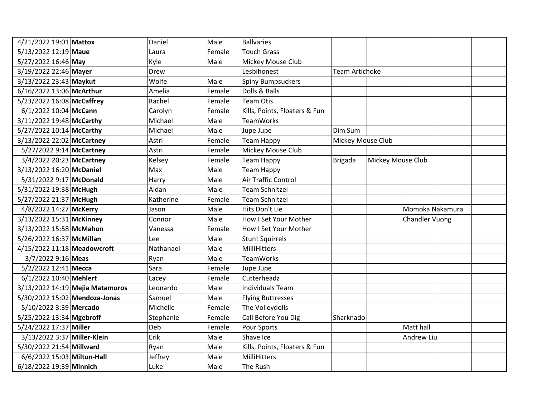| 4/21/2022 19:01 Mattox        |                                 | Daniel    | Male   | <b>Ballvaries</b>             |                       |                   |                       |
|-------------------------------|---------------------------------|-----------|--------|-------------------------------|-----------------------|-------------------|-----------------------|
| 5/13/2022 12:19 Maue          |                                 | Laura     | Female | <b>Touch Grass</b>            |                       |                   |                       |
| 5/27/2022 16:46 May           |                                 | Kyle      | Male   | Mickey Mouse Club             |                       |                   |                       |
| 3/19/2022 22:46 Mayer         |                                 | Drew      |        | Lesbihonest                   | <b>Team Artichoke</b> |                   |                       |
| 3/13/2022 23:43 Maykut        |                                 | Wolfe     | Male   | <b>Spiny Bumpsuckers</b>      |                       |                   |                       |
| 6/16/2022 13:06 McArthur      |                                 | Amelia    | Female | Dolls & Balls                 |                       |                   |                       |
| 5/23/2022 16:08 McCaffrey     |                                 | Rachel    | Female | <b>Team Otis</b>              |                       |                   |                       |
| 6/1/2022 10:04 McCann         |                                 | Carolyn   | Female | Kills, Points, Floaters & Fun |                       |                   |                       |
| 3/11/2022 19:48 McCarthy      |                                 | Michael   | Male   | <b>TeamWorks</b>              |                       |                   |                       |
| 5/27/2022 10:14 McCarthy      |                                 | Michael   | Male   | Jupe Jupe                     | Dim Sum               |                   |                       |
| 3/13/2022 22:02 McCartney     |                                 | Astri     | Female | <b>Team Happy</b>             | Mickey Mouse Club     |                   |                       |
| 5/27/2022 9:14 McCartney      |                                 | Astri     | Female | Mickey Mouse Club             |                       |                   |                       |
| 3/4/2022 20:23 McCartney      |                                 | Kelsey    | Female | <b>Team Happy</b>             | <b>Brigada</b>        | Mickey Mouse Club |                       |
| 3/13/2022 16:20 McDaniel      |                                 | Max       | Male   | <b>Team Happy</b>             |                       |                   |                       |
| 5/31/2022 9:17 McDonald       |                                 | Harry     | Male   | Air Traffic Control           |                       |                   |                       |
| 5/31/2022 19:38 McHugh        |                                 | Aidan     | Male   | <b>Team Schnitzel</b>         |                       |                   |                       |
| 5/27/2022 21:37 McHugh        |                                 | Katherine | Female | <b>Team Schnitzel</b>         |                       |                   |                       |
| 4/8/2022 14:27 McKerry        |                                 | Jason     | Male   | Hits Don't Lie                |                       |                   | Momoka Nakamura       |
| 3/13/2022 15:31 McKinney      |                                 | Connor    | Male   | How I Set Your Mother         |                       |                   | <b>Chandler Vuong</b> |
| 3/13/2022 15:58 McMahon       |                                 | Vanessa   | Female | How I Set Your Mother         |                       |                   |                       |
| 5/26/2022 16:37 McMillan      |                                 | Lee       | Male   | <b>Stunt Squirrels</b>        |                       |                   |                       |
| 4/15/2022 11:18 Meadowcroft   |                                 | Nathanael | Male   | MilliHitters                  |                       |                   |                       |
| 3/7/2022 9:16 Meas            |                                 | Ryan      | Male   | <b>TeamWorks</b>              |                       |                   |                       |
| 5/2/2022 12:41 Mecca          |                                 | Sara      | Female | Jupe Jupe                     |                       |                   |                       |
| 6/1/2022 10:40 Mehlert        |                                 | Lacey     | Female | Cutterheadz                   |                       |                   |                       |
|                               | 3/13/2022 14:19 Mejia Matamoros | Leonardo  | Male   | <b>Individuals Team</b>       |                       |                   |                       |
| 5/30/2022 15:02 Mendoza-Jonas |                                 | Samuel    | Male   | <b>Flying Buttresses</b>      |                       |                   |                       |
| 5/10/2022 3:39 Mercado        |                                 | Michelle  | Female | The Volleydolls               |                       |                   |                       |
| 5/25/2022 13:34 Mgebroff      |                                 | Stephanie | Female | Call Before You Dig           | Sharknado             |                   |                       |
| 5/24/2022 17:37 Miller        |                                 | Deb       | Female | Pour Sports                   |                       |                   | Matt hall             |
| 3/13/2022 3:37 Miller-Klein   |                                 | Erik      | Male   | Shave Ice                     |                       |                   | Andrew Liu            |
| 5/30/2022 21:54 Millward      |                                 | Ryan      | Male   | Kills, Points, Floaters & Fun |                       |                   |                       |
| 6/6/2022 15:03 Milton-Hall    |                                 | Jeffrey   | Male   | MilliHitters                  |                       |                   |                       |
| 6/18/2022 19:39 Minnich       |                                 | Luke      | Male   | The Rush                      |                       |                   |                       |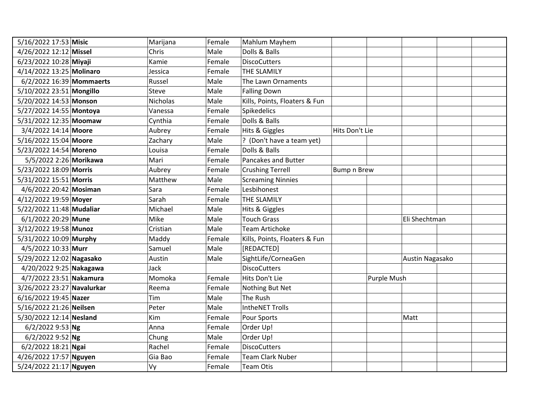| 5/16/2022 17:53 Misic      | Marijana     | Female | Mahlum Mayhem                 |                    |             |                 |
|----------------------------|--------------|--------|-------------------------------|--------------------|-------------|-----------------|
| 4/26/2022 12:12 Missel     | Chris        | Male   | Dolls & Balls                 |                    |             |                 |
| 6/23/2022 10:28 Miyaji     | Kamie        | Female | <b>DiscoCutters</b>           |                    |             |                 |
| 4/14/2022 13:25 Molinaro   | Jessica      | Female | THE SLAMILY                   |                    |             |                 |
| 6/2/2022 16:39 Mommaerts   | Russel       | Male   | The Lawn Ornaments            |                    |             |                 |
| 5/10/2022 23:51 Mongillo   | <b>Steve</b> | Male   | <b>Falling Down</b>           |                    |             |                 |
| 5/20/2022 14:53 Monson     | Nicholas     | Male   | Kills, Points, Floaters & Fun |                    |             |                 |
| 5/27/2022 14:55 Montoya    | Vanessa      | Female | Spikedelics                   |                    |             |                 |
| 5/31/2022 12:35 Moomaw     | Cynthia      | Female | Dolls & Balls                 |                    |             |                 |
| 3/4/2022 14:14 Moore       | Aubrey       | Female | Hits & Giggles                | Hits Don't Lie     |             |                 |
| 5/16/2022 15:04 Moore      | Zachary      | Male   | ? (Don't have a team yet)     |                    |             |                 |
| 5/23/2022 14:54 Moreno     | Louisa       | Female | Dolls & Balls                 |                    |             |                 |
| 5/5/2022 2:26 Morikawa     | Mari         | Female | Pancakes and Butter           |                    |             |                 |
| 5/23/2022 18:09 Morris     | Aubrey       | Female | <b>Crushing Terrell</b>       | <b>Bump n Brew</b> |             |                 |
| 5/31/2022 15:51 Morris     | Matthew      | Male   | <b>Screaming Ninnies</b>      |                    |             |                 |
| 4/6/2022 20:42 Mosiman     | Sara         | Female | Lesbihonest                   |                    |             |                 |
| 4/12/2022 19:59 Moyer      | Sarah        | Female | THE SLAMILY                   |                    |             |                 |
| 5/22/2022 11:48 Mudaliar   | Michael      | Male   | Hits & Giggles                |                    |             |                 |
| 6/1/2022 20:29 Mune        | Mike         | Male   | <b>Touch Grass</b>            |                    |             | Eli Shechtman   |
| 3/12/2022 19:58 Munoz      | Cristian     | Male   | <b>Team Artichoke</b>         |                    |             |                 |
| 5/31/2022 10:09 Murphy     | Maddy        | Female | Kills, Points, Floaters & Fun |                    |             |                 |
| 4/5/2022 10:33 Murr        | Samuel       | Male   | [REDACTED]                    |                    |             |                 |
| 5/29/2022 12:02 Nagasako   | Austin       | Male   | SightLife/CorneaGen           |                    |             | Austin Nagasako |
| 4/20/2022 9:25 Nakagawa    | Jack         |        | <b>DiscoCutters</b>           |                    |             |                 |
| 4/7/2022 23:51 Nakamura    | Momoka       | Female | Hits Don't Lie                |                    | Purple Mush |                 |
| 3/26/2022 23:27 Navalurkar | Reema        | Female | Nothing But Net               |                    |             |                 |
| 6/16/2022 19:45 Nazer      | Tim          | Male   | The Rush                      |                    |             |                 |
| 5/16/2022 21:26 Neilsen    | Peter        | Male   | <b>IntheNET Trolls</b>        |                    |             |                 |
| 5/30/2022 12:14 Nesland    | Kim          | Female | Pour Sports                   |                    |             | Matt            |
| $6/2/20229:53$ Ng          | Anna         | Female | Order Up!                     |                    |             |                 |
| $6/2/20229:52$ Ng          | Chung        | Male   | Order Up!                     |                    |             |                 |
| 6/2/2022 18:21 Ngai        | Rachel       | Female | <b>DiscoCutters</b>           |                    |             |                 |
| 4/26/2022 17:57 Nguyen     | Gia Bao      | Female | <b>Team Clark Nuber</b>       |                    |             |                 |
| 5/24/2022 21:17 Nguyen     | Vy           | Female | <b>Team Otis</b>              |                    |             |                 |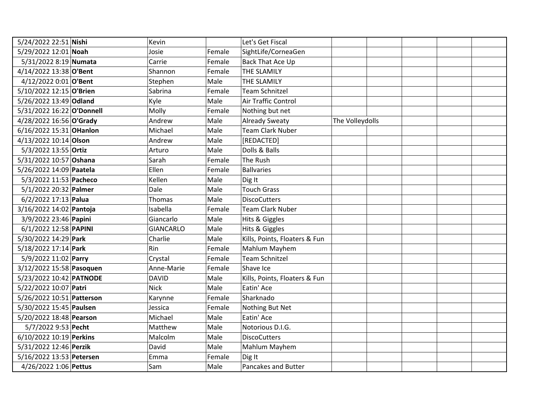| 5/24/2022 22:51 Nishi     | Kevin            |        | Let's Get Fiscal              |                 |  |
|---------------------------|------------------|--------|-------------------------------|-----------------|--|
| 5/29/2022 12:01 Noah      | Josie            | Female | SightLife/CorneaGen           |                 |  |
| 5/31/2022 8:19 Numata     | Carrie           | Female | Back That Ace Up              |                 |  |
| 4/14/2022 13:38 O'Bent    | Shannon          | Female | THE SLAMILY                   |                 |  |
| 4/12/2022 0:01 O'Bent     | Stephen          | Male   | THE SLAMILY                   |                 |  |
| 5/10/2022 12:15 O'Brien   | Sabrina          | Female | <b>Team Schnitzel</b>         |                 |  |
| 5/26/2022 13:49 Odland    | Kyle             | Male   | Air Traffic Control           |                 |  |
| 5/31/2022 16:22 O'Donnell | Molly            | Female | Nothing but net               |                 |  |
| 4/28/2022 16:56 O'Grady   | Andrew           | Male   | <b>Already Sweaty</b>         | The Volleydolls |  |
| 6/16/2022 15:31 OHanlon   | Michael          | Male   | <b>Team Clark Nuber</b>       |                 |  |
| 4/13/2022 10:14 Olson     | Andrew           | Male   | [REDACTED]                    |                 |  |
| 5/3/2022 13:55 Ortiz      | Arturo           | Male   | Dolls & Balls                 |                 |  |
| 5/31/2022 10:57 Oshana    | Sarah            | Female | The Rush                      |                 |  |
| 5/26/2022 14:09 Paatela   | Ellen            | Female | <b>Ballvaries</b>             |                 |  |
| 5/3/2022 11:53 Pacheco    | Kellen           | Male   | Dig It                        |                 |  |
| 5/1/2022 20:32 Palmer     | Dale             | Male   | <b>Touch Grass</b>            |                 |  |
| 6/2/2022 17:13 Palua      | Thomas           | Male   | <b>DiscoCutters</b>           |                 |  |
| 3/16/2022 14:02 Pantoja   | Isabella         | Female | <b>Team Clark Nuber</b>       |                 |  |
| 3/9/2022 23:46 Papini     | Giancarlo        | Male   | Hits & Giggles                |                 |  |
| 6/1/2022 12:58 PAPINI     | <b>GIANCARLO</b> | Male   | Hits & Giggles                |                 |  |
| 5/30/2022 14:29 Park      | Charlie          | Male   | Kills, Points, Floaters & Fun |                 |  |
| 5/18/2022 17:14 Park      | Rin              | Female | Mahlum Mayhem                 |                 |  |
| 5/9/2022 11:02 Parry      | Crystal          | Female | <b>Team Schnitzel</b>         |                 |  |
| 3/12/2022 15:58 Pasoquen  | Anne-Marie       | Female | Shave Ice                     |                 |  |
| 5/23/2022 10:42 PATNODE   | <b>DAVID</b>     | Male   | Kills, Points, Floaters & Fun |                 |  |
| 5/22/2022 10:07 Patri     | <b>Nick</b>      | Male   | Eatin' Ace                    |                 |  |
| 5/26/2022 10:51 Patterson | Karynne          | Female | Sharknado                     |                 |  |
| 5/30/2022 15:45 Paulsen   | Jessica          | Female | Nothing But Net               |                 |  |
| 5/20/2022 18:48 Pearson   | Michael          | Male   | Eatin' Ace                    |                 |  |
| 5/7/2022 9:53 Pecht       | Matthew          | Male   | Notorious D.I.G.              |                 |  |
| 6/10/2022 10:19 Perkins   | Malcolm          | Male   | <b>DiscoCutters</b>           |                 |  |
| 5/31/2022 12:46 Perzik    | David            | Male   | Mahlum Mayhem                 |                 |  |
| 5/16/2022 13:53 Petersen  | Emma             | Female | Dig It                        |                 |  |
| 4/26/2022 1:06 Pettus     | Sam              | Male   | Pancakes and Butter           |                 |  |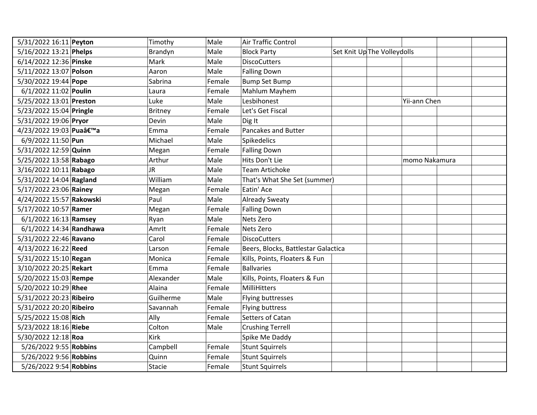| 5/31/2022 16:11 Peyton    | Timothy        | Male   | Air Traffic Control                 |                             |               |
|---------------------------|----------------|--------|-------------------------------------|-----------------------------|---------------|
| 5/16/2022 13:21 Phelps    | Brandyn        | Male   | <b>Block Party</b>                  | Set Knit Up The Volleydolls |               |
| 6/14/2022 12:36 Pinske    | Mark           | Male   | <b>DiscoCutters</b>                 |                             |               |
| 5/11/2022 13:07 Polson    | Aaron          | Male   | <b>Falling Down</b>                 |                             |               |
| 5/30/2022 19:44 Pope      | Sabrina        | Female | <b>Bump Set Bump</b>                |                             |               |
| 6/1/2022 11:02 Poulin     | Laura          | Female | Mahlum Mayhem                       |                             |               |
| 5/25/2022 13:01 Preston   | Luke           | Male   | Lesbihonest                         |                             | Yii-ann Chen  |
| 5/23/2022 15:04 Pringle   | <b>Britney</b> | Female | Let's Get Fiscal                    |                             |               |
| 5/31/2022 19:06 Pryor     | Devin          | Male   | Dig It                              |                             |               |
| 4/23/2022 19:03 Pua'a     | Emma           | Female | <b>Pancakes and Butter</b>          |                             |               |
| 6/9/2022 11:50 Pun        | Michael        | Male   | <b>Spikedelics</b>                  |                             |               |
| 5/31/2022 12:59 Quinn     | Megan          | Female | <b>Falling Down</b>                 |                             |               |
| 5/25/2022 13:58 Rabago    | Arthur         | Male   | Hits Don't Lie                      |                             | momo Nakamura |
| 3/16/2022 10:11 Rabago    | <b>JR</b>      | Male   | <b>Team Artichoke</b>               |                             |               |
| 5/31/2022 14:04 Ragland   | William        | Male   | That's What She Set (summer)        |                             |               |
| 5/17/2022 23:06 Rainey    | Megan          | Female | Eatin' Ace                          |                             |               |
| 4/24/2022 15:57 Rakowski  | Paul           | Male   | <b>Already Sweaty</b>               |                             |               |
| 5/17/2022 10:57 Ramer     | Megan          | Female | <b>Falling Down</b>                 |                             |               |
| 6/1/2022 16:13 Ramsey     | Ryan           | Male   | Nets Zero                           |                             |               |
| $6/1/2022$ 14:34 Randhawa | Amrlt          | Female | Nets Zero                           |                             |               |
| 5/31/2022 22:46 Ravano    | Carol          | Female | <b>DiscoCutters</b>                 |                             |               |
| 4/13/2022 16:22 Reed      | Larson         | Female | Beers, Blocks, Battlestar Galactica |                             |               |
| 5/31/2022 15:10 Regan     | Monica         | Female | Kills, Points, Floaters & Fun       |                             |               |
| 3/10/2022 20:25 Rekart    | Emma           | Female | <b>Ballvaries</b>                   |                             |               |
| 5/20/2022 15:03 Rempe     | Alexander      | Male   | Kills, Points, Floaters & Fun       |                             |               |
| 5/20/2022 10:29 Rhee      | Alaina         | Female | MilliHitters                        |                             |               |
| 5/31/2022 20:23 Ribeiro   | Guilherme      | Male   | Flying buttresses                   |                             |               |
| 5/31/2022 20:20 Ribeiro   | Savannah       | Female | Flying buttress                     |                             |               |
| 5/25/2022 15:08 Rich      | Ally           | Female | Setters of Catan                    |                             |               |
| 5/23/2022 18:16 Riebe     | Colton         | Male   | <b>Crushing Terrell</b>             |                             |               |
| 5/30/2022 12:18 Roa       | Kirk           |        | Spike Me Daddy                      |                             |               |
| 5/26/2022 9:55 Robbins    | Campbell       | Female | <b>Stunt Squirrels</b>              |                             |               |
| 5/26/2022 9:56 Robbins    | Quinn          | Female | <b>Stunt Squirrels</b>              |                             |               |
| 5/26/2022 9:54 Robbins    | Stacie         | Female | <b>Stunt Squirrels</b>              |                             |               |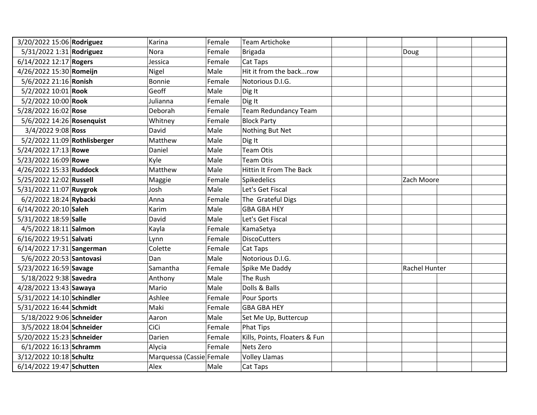| 3/20/2022 15:06 Rodriguez    | Karina                   | Female | <b>Team Artichoke</b>         |  |               |
|------------------------------|--------------------------|--------|-------------------------------|--|---------------|
| 5/31/2022 1:31 Rodriguez     | <b>Nora</b>              | Female | <b>Brigada</b>                |  | Doug          |
| 6/14/2022 12:17 Rogers       | Jessica                  | Female | Cat Taps                      |  |               |
| 4/26/2022 15:30 Romeijn      | Nigel                    | Male   | Hit it from the backrow       |  |               |
| 5/6/2022 21:16 Ronish        | <b>Bonnie</b>            | Female | Notorious D.I.G.              |  |               |
| 5/2/2022 10:01 Rook          | Geoff                    | Male   | Dig It                        |  |               |
| 5/2/2022 10:00 Rook          | Julianna                 | Female | Dig It                        |  |               |
| 5/28/2022 16:02 Rose         | Deborah                  | Female | <b>Team Redundancy Team</b>   |  |               |
| 5/6/2022 14:26 Rosenquist    | Whitney                  | Female | <b>Block Party</b>            |  |               |
| 3/4/2022 9:08 Ross           | David                    | Male   | Nothing But Net               |  |               |
| 5/2/2022 11:09 Rothlisberger | Matthew                  | Male   | Dig It                        |  |               |
| 5/24/2022 17:13 Rowe         | Daniel                   | Male   | <b>Team Otis</b>              |  |               |
| 5/23/2022 16:09 Rowe         | Kyle                     | Male   | <b>Team Otis</b>              |  |               |
| 4/26/2022 15:33 Ruddock      | Matthew                  | Male   | Hittin It From The Back       |  |               |
| 5/25/2022 12:02 Russell      | Maggie                   | Female | Spikedelics                   |  | Zach Moore    |
| 5/31/2022 11:07 Ruygrok      | Josh                     | Male   | Let's Get Fiscal              |  |               |
| 6/2/2022 18:24 Rybacki       | Anna                     | Female | The Grateful Digs             |  |               |
| 6/14/2022 20:10 Saleh        | Karim                    | Male   | <b>GBA GBA HEY</b>            |  |               |
| 5/31/2022 18:59 Salle        | David                    | Male   | Let's Get Fiscal              |  |               |
| 4/5/2022 18:11 Salmon        | Kayla                    | Female | KamaSetya                     |  |               |
| 6/16/2022 19:51 Salvati      | Lynn                     | Female | <b>DiscoCutters</b>           |  |               |
| 6/14/2022 17:31 Sangerman    | Colette                  | Female | Cat Taps                      |  |               |
| 5/6/2022 20:53 Santovasi     | Dan                      | Male   | Notorious D.I.G.              |  |               |
| 5/23/2022 16:59 Savage       | Samantha                 | Female | Spike Me Daddy                |  | Rachel Hunter |
| 5/18/2022 9:38 Savedra       | Anthony                  | Male   | The Rush                      |  |               |
| 4/28/2022 13:43 Sawaya       | Mario                    | Male   | Dolls & Balls                 |  |               |
| 5/31/2022 14:10 Schindler    | Ashlee                   | Female | <b>Pour Sports</b>            |  |               |
| 5/31/2022 16:44 Schmidt      | Maki                     | Female | <b>GBA GBA HEY</b>            |  |               |
| 5/18/2022 9:06 Schneider     | Aaron                    | Male   | Set Me Up, Buttercup          |  |               |
| 3/5/2022 18:04 Schneider     | CiCi                     | Female | <b>Phat Tips</b>              |  |               |
| 5/20/2022 15:23 Schneider    | Darien                   | Female | Kills, Points, Floaters & Fun |  |               |
| 6/1/2022 16:13 Schramm       | Alycia                   | Female | Nets Zero                     |  |               |
| 3/12/2022 10:18 Schultz      | Marquessa (Cassie Female |        | <b>Volley Llamas</b>          |  |               |
| 6/14/2022 19:47 Schutten     | Alex                     | Male   | Cat Taps                      |  |               |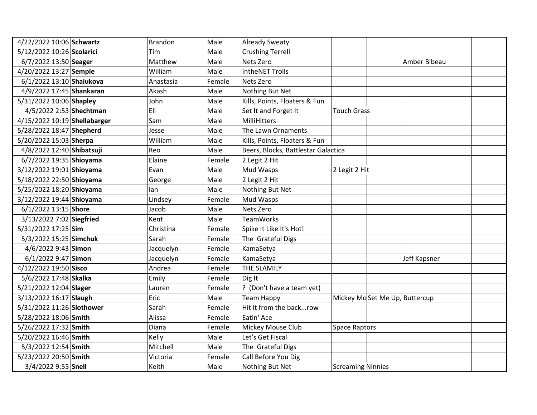| 4/22/2022 10:06 Schwartz     | <b>Brandon</b> | Male   | <b>Already Sweaty</b>               |                          |                               |              |
|------------------------------|----------------|--------|-------------------------------------|--------------------------|-------------------------------|--------------|
| 5/12/2022 10:26 Scolarici    | Tim            | Male   | <b>Crushing Terrell</b>             |                          |                               |              |
| 6/7/2022 13:50 Seager        | Matthew        | Male   | Nets Zero                           |                          |                               | Amber Bibeau |
| 4/20/2022 13:27 Semple       | William        | Male   | <b>IntheNET Trolls</b>              |                          |                               |              |
| 6/1/2022 13:10 Shaiukova     | Anastasia      | Female | Nets Zero                           |                          |                               |              |
| 4/9/2022 17:45 Shankaran     | Akash          | Male   | Nothing But Net                     |                          |                               |              |
| 5/31/2022 10:06 Shapley      | John           | Male   | Kills, Points, Floaters & Fun       |                          |                               |              |
| 4/5/2022 2:53 Shechtman      | Eli            | Male   | Set It and Forget It                | <b>Touch Grass</b>       |                               |              |
| 4/15/2022 10:19 Shellabarger | Sam            | Male   | MilliHitters                        |                          |                               |              |
| 5/28/2022 18:47 Shepherd     | Jesse          | Male   | The Lawn Ornaments                  |                          |                               |              |
| 5/20/2022 15:03 Sherpa       | William        | Male   | Kills, Points, Floaters & Fun       |                          |                               |              |
| 4/8/2022 12:40 Shibatsuji    | Reo            | Male   | Beers, Blocks, Battlestar Galactica |                          |                               |              |
| 6/7/2022 19:35 Shioyama      | Elaine         | Female | 2 Legit 2 Hit                       |                          |                               |              |
| 3/12/2022 19:01 Shioyama     | Evan           | Male   | Mud Wasps                           | 2 Legit 2 Hit            |                               |              |
| 5/18/2022 22:50 Shioyama     | George         | Male   | 2 Legit 2 Hit                       |                          |                               |              |
| 5/25/2022 18:20 Shioyama     | lan            | Male   | Nothing But Net                     |                          |                               |              |
| 3/12/2022 19:44 Shioyama     | Lindsey        | Female | Mud Wasps                           |                          |                               |              |
| 6/1/2022 13:15 Shore         | Jacob          | Male   | Nets Zero                           |                          |                               |              |
| 3/13/2022 7:02 Siegfried     | Kent           | Male   | <b>TeamWorks</b>                    |                          |                               |              |
| 5/31/2022 17:25 Sim          | Christina      | Female | Spike It Like It's Hot!             |                          |                               |              |
| 5/3/2022 15:25 Simchuk       | Sarah          | Female | The Grateful Digs                   |                          |                               |              |
| 4/6/2022 9:43 Simon          | Jacquelyn      | Female | KamaSetya                           |                          |                               |              |
| 6/1/2022 9:47 Simon          | Jacquelyn      | Female | KamaSetya                           |                          |                               | Jeff Kapsner |
| 4/12/2022 19:50 Sisco        | Andrea         | Female | THE SLAMILY                         |                          |                               |              |
| 5/6/2022 17:48 Skalka        | Emily          | Female | Dig It                              |                          |                               |              |
| 5/21/2022 12:04 Slager       | Lauren         | Female | ? (Don't have a team yet)           |                          |                               |              |
| 3/13/2022 16:17 Slaugh       | Eric           | Male   | <b>Team Happy</b>                   |                          | Mickey MoSet Me Up, Buttercup |              |
| 5/31/2022 11:26 Slothower    | Sarah          | Female | Hit it from the backrow             |                          |                               |              |
| 5/28/2022 18:06 Smith        | Alissa         | Female | Eatin' Ace                          |                          |                               |              |
| 5/26/2022 17:32 Smith        | Diana          | Female | Mickey Mouse Club                   | <b>Space Raptors</b>     |                               |              |
| 5/20/2022 16:46 Smith        | Kelly          | Male   | Let's Get Fiscal                    |                          |                               |              |
| 5/3/2022 12:54 Smith         | Mitchell       | Male   | The Grateful Digs                   |                          |                               |              |
| 5/23/2022 20:50 Smith        | Victoria       | Female | Call Before You Dig                 |                          |                               |              |
| 3/4/2022 9:55 Snell          | Keith          | Male   | Nothing But Net                     | <b>Screaming Ninnies</b> |                               |              |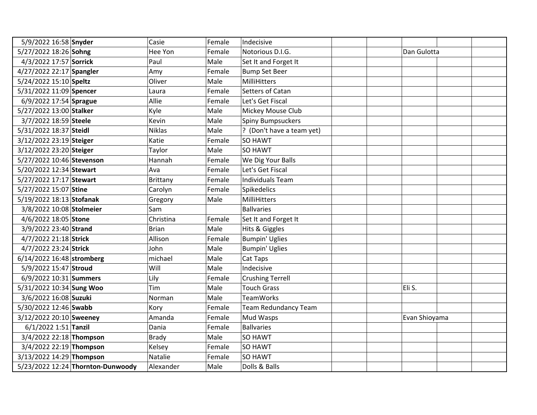| 5/9/2022 16:58 Snyder     |                                   | Casie           | Female | Indecisive                |               |  |
|---------------------------|-----------------------------------|-----------------|--------|---------------------------|---------------|--|
| 5/27/2022 18:26 Sohng     |                                   | Hee Yon         | Female | Notorious D.I.G.          | Dan Gulotta   |  |
| 4/3/2022 17:57 Sorrick    |                                   | Paul            | Male   | Set It and Forget It      |               |  |
| 4/27/2022 22:17 Spangler  |                                   | Amy             | Female | <b>Bump Set Beer</b>      |               |  |
| 5/24/2022 15:10 Speltz    |                                   | Oliver          | Male   | MilliHitters              |               |  |
| 5/31/2022 11:09 Spencer   |                                   | Laura           | Female | Setters of Catan          |               |  |
| 6/9/2022 17:54 Sprague    |                                   | Allie           | Female | Let's Get Fiscal          |               |  |
| 5/27/2022 13:00 Stalker   |                                   | Kyle            | Male   | Mickey Mouse Club         |               |  |
| 3/7/2022 18:59 Steele     |                                   | Kevin           | Male   | <b>Spiny Bumpsuckers</b>  |               |  |
| 5/31/2022 18:37 Steidl    |                                   | <b>Niklas</b>   | Male   | ? (Don't have a team yet) |               |  |
| 3/12/2022 23:19 Steiger   |                                   | Katie           | Female | SO HAWT                   |               |  |
| 3/12/2022 23:20 Steiger   |                                   | Taylor          | Male   | <b>SO HAWT</b>            |               |  |
| 5/27/2022 10:46 Stevenson |                                   | Hannah          | Female | We Dig Your Balls         |               |  |
| 5/20/2022 12:34 Stewart   |                                   | Ava             | Female | Let's Get Fiscal          |               |  |
| 5/27/2022 17:17 Stewart   |                                   | <b>Brittany</b> | Female | <b>Individuals Team</b>   |               |  |
| 5/27/2022 15:07 Stine     |                                   | Carolyn         | Female | Spikedelics               |               |  |
| 5/19/2022 18:13 Stofanak  |                                   | Gregory         | Male   | MilliHitters              |               |  |
| 3/8/2022 10:08 Stolmeier  |                                   | Sam             |        | <b>Ballvaries</b>         |               |  |
| 4/6/2022 18:05 Stone      |                                   | Christina       | Female | Set It and Forget It      |               |  |
| 3/9/2022 23:40 Strand     |                                   | <b>Brian</b>    | Male   | Hits & Giggles            |               |  |
| 4/7/2022 21:18 Strick     |                                   | Allison         | Female | <b>Bumpin' Uglies</b>     |               |  |
| 4/7/2022 23:24 Strick     |                                   | John            | Male   | <b>Bumpin' Uglies</b>     |               |  |
| 6/14/2022 16:48 stromberg |                                   | michael         | Male   | Cat Taps                  |               |  |
| 5/9/2022 15:47 Stroud     |                                   | Will            | Male   | Indecisive                |               |  |
| 6/9/2022 10:31 Summers    |                                   | Lily            | Female | <b>Crushing Terrell</b>   |               |  |
| 5/31/2022 10:34 Sung Woo  |                                   | Tim             | Male   | <b>Touch Grass</b>        | Eli S.        |  |
| 3/6/2022 16:08 Suzuki     |                                   | Norman          | Male   | <b>TeamWorks</b>          |               |  |
| 5/30/2022 12:46 Swabb     |                                   | Kory            | Female | Team Redundancy Team      |               |  |
| 3/12/2022 20:10 Sweeney   |                                   | Amanda          | Female | Mud Wasps                 | Evan Shioyama |  |
| $6/1/2022$ 1:51 Tanzil    |                                   | Dania           | Female | <b>Ballvaries</b>         |               |  |
| 3/4/2022 22:18 Thompson   |                                   | <b>Brady</b>    | Male   | <b>SO HAWT</b>            |               |  |
| 3/4/2022 22:19 Thompson   |                                   | Kelsey          | Female | <b>SO HAWT</b>            |               |  |
| 3/13/2022 14:29 Thompson  |                                   | Natalie         | Female | <b>SO HAWT</b>            |               |  |
|                           | 5/23/2022 12:24 Thornton-Dunwoody | Alexander       | Male   | Dolls & Balls             |               |  |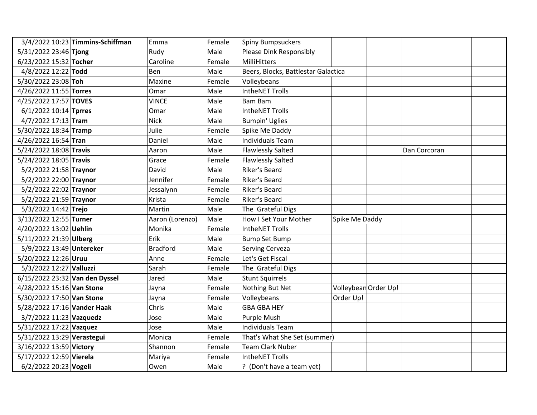| 3/4/2022 10:23 Timmins-Schiffman | Emma            | Female | <b>Spiny Bumpsuckers</b>            |                |                      |              |
|----------------------------------|-----------------|--------|-------------------------------------|----------------|----------------------|--------------|
| 5/31/2022 23:46 Tjong            | Rudy            | Male   | Please Dink Responsibly             |                |                      |              |
| 6/23/2022 15:32 Tocher           | Caroline        | Female | MilliHitters                        |                |                      |              |
| 4/8/2022 12:22 Todd              | Ben             | Male   | Beers, Blocks, Battlestar Galactica |                |                      |              |
| 5/30/2022 23:08 Toh              | Maxine          | Female | Volleybeans                         |                |                      |              |
| 4/26/2022 11:55 Torres           | Omar            | Male   | IntheNET Trolls                     |                |                      |              |
| 4/25/2022 17:57 TOVES            | <b>VINCE</b>    | Male   | <b>Bam Bam</b>                      |                |                      |              |
| 6/1/2022 10:14 Tprres            | Omar            | Male   | <b>IntheNET Trolls</b>              |                |                      |              |
| 4/7/2022 17:13 Tram              | <b>Nick</b>     | Male   | <b>Bumpin' Uglies</b>               |                |                      |              |
| 5/30/2022 18:34 Tramp            | Julie           | Female | Spike Me Daddy                      |                |                      |              |
| 4/26/2022 16:54 Tran             | Daniel          | Male   | <b>Individuals Team</b>             |                |                      |              |
| 5/24/2022 18:08 Travis           | Aaron           | Male   | <b>Flawlessly Salted</b>            |                |                      | Dan Corcoran |
| 5/24/2022 18:05 Travis           | Grace           | Female | <b>Flawlessly Salted</b>            |                |                      |              |
| 5/2/2022 21:58 Traynor           | David           | Male   | Riker's Beard                       |                |                      |              |
| 5/2/2022 22:00 Traynor           | Jennifer        | Female | Riker's Beard                       |                |                      |              |
| 5/2/2022 22:02 Traynor           | Jessalynn       | Female | Riker's Beard                       |                |                      |              |
| 5/2/2022 21:59 Traynor           | Krista          | Female | Riker's Beard                       |                |                      |              |
| 5/3/2022 14:42 Trejo             | Martin          | Male   | The Grateful Digs                   |                |                      |              |
| 3/13/2022 12:55 Turner           | Aaron (Lorenzo) | Male   | How I Set Your Mother               | Spike Me Daddy |                      |              |
| 4/20/2022 13:02 Uehlin           | Monika          | Female | <b>IntheNET Trolls</b>              |                |                      |              |
| 5/11/2022 21:39 Ulberg           | Erik            | Male   | <b>Bump Set Bump</b>                |                |                      |              |
| 5/9/2022 13:49 Untereker         | <b>Bradford</b> | Male   | <b>Serving Cerveza</b>              |                |                      |              |
| 5/20/2022 12:26 Uruu             | Anne            | Female | Let's Get Fiscal                    |                |                      |              |
| 5/3/2022 12:27 Valluzzi          | Sarah           | Female | The Grateful Digs                   |                |                      |              |
| 6/15/2022 23:32 Van den Dyssel   | Jared           | Male   | <b>Stunt Squirrels</b>              |                |                      |              |
| 4/28/2022 15:16 Van Stone        | Jayna           | Female | Nothing But Net                     |                | Volleybean Order Up! |              |
| 5/30/2022 17:50 Van Stone        | Jayna           | Female | Volleybeans                         | Order Up!      |                      |              |
| 5/28/2022 17:16 Vander Haak      | Chris           | Male   | <b>GBA GBA HEY</b>                  |                |                      |              |
| 3/7/2022 11:23 Vazquedz          | Jose            | Male   | Purple Mush                         |                |                      |              |
| 5/31/2022 17:22 Vazquez          | Jose            | Male   | <b>Individuals Team</b>             |                |                      |              |
| 5/31/2022 13:29 Verastegui       | Monica          | Female | That's What She Set (summer)        |                |                      |              |
| 3/16/2022 13:59 Victory          | Shannon         | Female | <b>Team Clark Nuber</b>             |                |                      |              |
| 5/17/2022 12:59 Vierela          | Mariya          | Female | <b>IntheNET Trolls</b>              |                |                      |              |
| 6/2/2022 20:23 Vogeli            | Owen            | Male   | ? (Don't have a team yet)           |                |                      |              |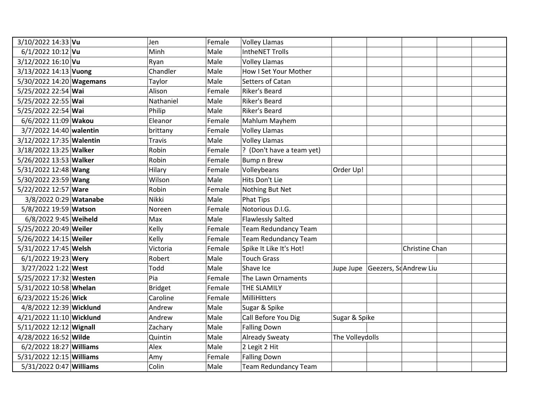| 3/10/2022 14:33 Vu       | Jen            | Female | <b>Volley Llamas</b>        |                 |                       |                |  |
|--------------------------|----------------|--------|-----------------------------|-----------------|-----------------------|----------------|--|
| $6/1/2022$ 10:12 Vu      | Minh           | Male   | <b>IntheNET Trolls</b>      |                 |                       |                |  |
| 3/12/2022 16:10 Vu       | Ryan           | Male   | <b>Volley Llamas</b>        |                 |                       |                |  |
| 3/13/2022 14:13 Vuong    | Chandler       | Male   | How I Set Your Mother       |                 |                       |                |  |
| 5/30/2022 14:20 Wagemans | Taylor         | Male   | Setters of Catan            |                 |                       |                |  |
| 5/25/2022 22:54 Wai      | Alison         | Female | Riker's Beard               |                 |                       |                |  |
| 5/25/2022 22:55 Wai      | Nathaniel      | Male   | Riker's Beard               |                 |                       |                |  |
| 5/25/2022 22:54 Wai      | Philip         | Male   | Riker's Beard               |                 |                       |                |  |
| 6/6/2022 11:09 Wakou     | Eleanor        | Female | Mahlum Mayhem               |                 |                       |                |  |
| 3/7/2022 14:40 walentin  | brittany       | Female | <b>Volley Llamas</b>        |                 |                       |                |  |
| 3/12/2022 17:35 Walentin | <b>Travis</b>  | Male   | <b>Volley Llamas</b>        |                 |                       |                |  |
| 3/18/2022 13:25 Walker   | Robin          | Female | ? (Don't have a team yet)   |                 |                       |                |  |
| 5/26/2022 13:53 Walker   | Robin          | Female | <b>Bump n Brew</b>          |                 |                       |                |  |
| 5/31/2022 12:48 Wang     | Hilary         | Female | Volleybeans                 | Order Up!       |                       |                |  |
| 5/30/2022 23:59 Wang     | Wilson         | Male   | Hits Don't Lie              |                 |                       |                |  |
| 5/22/2022 12:57 Ware     | Robin          | Female | Nothing But Net             |                 |                       |                |  |
| 3/8/2022 0:29 Watanabe   | Nikki          | Male   | <b>Phat Tips</b>            |                 |                       |                |  |
| 5/8/2022 19:59 Watson    | Noreen         | Female | Notorious D.I.G.            |                 |                       |                |  |
| 6/8/2022 9:45 Weiheld    | Max            | Male   | <b>Flawlessly Salted</b>    |                 |                       |                |  |
| 5/25/2022 20:49 Weiler   | Kelly          | Female | <b>Team Redundancy Team</b> |                 |                       |                |  |
| 5/26/2022 14:15 Weiler   | Kelly          | Female | <b>Team Redundancy Team</b> |                 |                       |                |  |
| 5/31/2022 17:45 Welsh    | Victoria       | Female | Spike It Like It's Hot!     |                 |                       | Christine Chan |  |
| 6/1/2022 19:23 Wery      | Robert         | Male   | <b>Touch Grass</b>          |                 |                       |                |  |
| 3/27/2022 1:22 West      | Todd           | Male   | Shave Ice                   | Jupe Jupe       | Geezers, ScAndrew Liu |                |  |
| 5/25/2022 17:32 Westen   | Pia            | Female | The Lawn Ornaments          |                 |                       |                |  |
| 5/31/2022 10:58 Whelan   | <b>Bridget</b> | Female | THE SLAMILY                 |                 |                       |                |  |
| 6/23/2022 15:26 Wick     | Caroline       | Female | MilliHitters                |                 |                       |                |  |
| 4/8/2022 12:39 Wicklund  | Andrew         | Male   | Sugar & Spike               |                 |                       |                |  |
| 4/21/2022 11:10 Wicklund | Andrew         | Male   | Call Before You Dig         | Sugar & Spike   |                       |                |  |
| 5/11/2022 12:12 Wignall  | Zachary        | Male   | <b>Falling Down</b>         |                 |                       |                |  |
| 4/28/2022 16:52 Wilde    | Quintin        | Male   | <b>Already Sweaty</b>       | The Volleydolls |                       |                |  |
| 6/2/2022 18:27 Williams  | Alex           | Male   | 2 Legit 2 Hit               |                 |                       |                |  |
| 5/31/2022 12:15 Williams | Amy            | Female | <b>Falling Down</b>         |                 |                       |                |  |
| 5/31/2022 0:47 Williams  | Colin          | Male   | <b>Team Redundancy Team</b> |                 |                       |                |  |